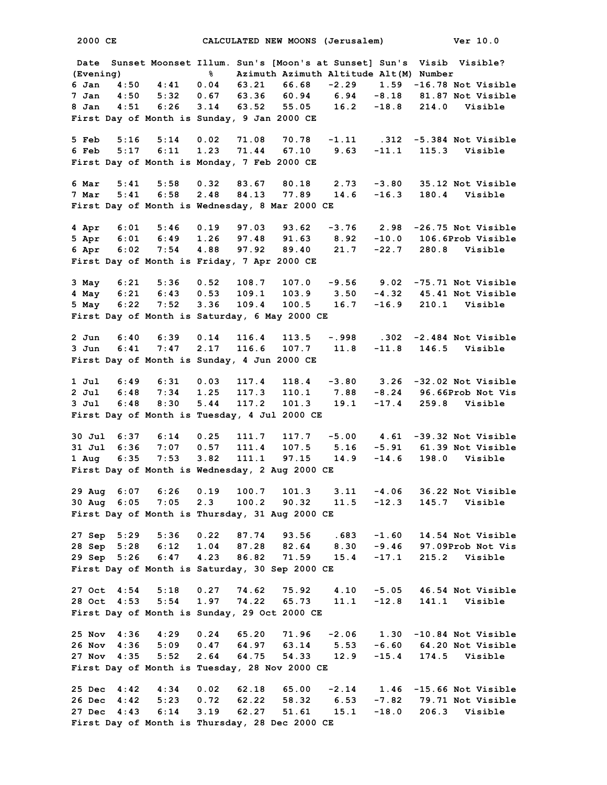**2000 CE CALCULATED NEW MOONS (Jerusalem) Ver 10.0 Date Sunset Moonset Illum. Sun's [Moon's at Sunset] Sun's Visib Visible? (Evening) % Azimuth Azimuth Altitude Alt(M) Number 6 Jan 4:50 4:41 0.04 63.21 66.68 -2.29 1.59 -16.78 Not Visible 7 Jan 4:50 5:32 0.67 63.36 60.94 6.94 -8.18 81.87 Not Visible 8 Jan 4:51 6:26 3.14 63.52 55.05 16.2 -18.8 214.0 Visible First Day of Month is Sunday, 9 Jan 2000 CE 5 Feb 5:16 5:14 0.02 71.08 70.78 -1.11 .312 -5.384 Not Visible 6 Feb 5:17 6:11 1.23 71.44 67.10 9.63 -11.1 115.3 Visible First Day of Month is Monday, 7 Feb 2000 CE 6 Mar 5:41 5:58 0.32 83.67 80.18 2.73 -3.80 35.12 Not Visible 7 Mar 5:41 6:58 2.48 84.13 77.89 14.6 -16.3 180.4 Visible First Day of Month is Wednesday, 8 Mar 2000 CE 4 Apr 6:01 5:46 0.19 97.03 93.62 -3.76 2.98 -26.75 Not Visible 5 Apr 6:01 6:49 1.26 97.48 91.63 8.92 -10.0 106.6Prob Visible 6 Apr 6:02 7:54 4.88 97.92 89.40 21.7 -22.7 280.8 Visible First Day of Month is Friday, 7 Apr 2000 CE 3 May 6:21 5:36 0.52 108.7 107.0 -9.56 9.02 -75.71 Not Visible 4 May 6:21 6:43 0.53 109.1 103.9 3.50 -4.32 45.41 Not Visible 5 May 6:22 7:52 3.36 109.4 100.5 16.7 -16.9 210.1 Visible First Day of Month is Saturday, 6 May 2000 CE 2 Jun 6:40 6:39 0.14 116.4 113.5 -.998 .302 -2.484 Not Visible 3 Jun 6:41 7:47 2.17 116.6 107.7 11.8 -11.8 146.5 Visible First Day of Month is Sunday, 4 Jun 2000 CE 1 Jul 6:49 6:31 0.03 117.4 118.4 -3.80 3.26 -32.02 Not Visible 2 Jul 6:48 7:34 1.25 117.3 110.1 7.88 -8.24 96.66Prob Not Vis 3 Jul 6:48 8:30 5.44 117.2 101.3 19.1 -17.4 259.8 Visible First Day of Month is Tuesday, 4 Jul 2000 CE 30 Jul 6:37 6:14 0.25 111.7 117.7 -5.00 4.61 -39.32 Not Visible 31 Jul 6:36 7:07 0.57 111.4 107.5 5.16 -5.91 61.39 Not Visible 1 Aug 6:35 7:53 3.82 111.1 97.15 14.9 -14.6 198.0 Visible First Day of Month is Wednesday, 2 Aug 2000 CE 29 Aug 6:07 6:26 0.19 100.7 101.3 3.11 -4.06 36.22 Not Visible 30 Aug 6:05 7:05 2.3 100.2 90.32 11.5 -12.3 145.7 Visible First Day of Month is Thursday, 31 Aug 2000 CE 27 Sep 5:29 5:36 0.22 87.74 93.56 .683 -1.60 14.54 Not Visible 28 Sep 5:28 6:12 1.04 87.28 82.64 8.30 -9.46 97.09Prob Not Vis 29 Sep 5:26 6:47 4.23 86.82 71.59 15.4 -17.1 215.2 Visible First Day of Month is Saturday, 30 Sep 2000 CE 27 Oct 4:54 5:18 0.27 74.62 75.92 4.10 -5.05 46.54 Not Visible 28 Oct 4:53 5:54 1.97 74.22 65.73 11.1 -12.8 141.1 Visible First Day of Month is Sunday, 29 Oct 2000 CE 25 Nov 4:36 4:29 0.24 65.20 71.96 -2.06 1.30 -10.84 Not Visible 26 Nov 4:36 5:09 0.47 64.97 63.14 5.53 -6.60 64.20 Not Visible 27 Nov 4:35 5:52 2.64 64.75 54.33 12.9 -15.4 174.5 Visible First Day of Month is Tuesday, 28 Nov 2000 CE 25 Dec 4:42 4:34 0.02 62.18 65.00 -2.14 1.46 -15.66 Not Visible 26 Dec 4:42 5:23 0.72 62.22 58.32 6.53 -7.82 79.71 Not Visible 27 Dec 4:43 6:14 3.19 62.27 51.61 15.1 -18.0 206.3 Visible First Day of Month is Thursday, 28 Dec 2000 CE**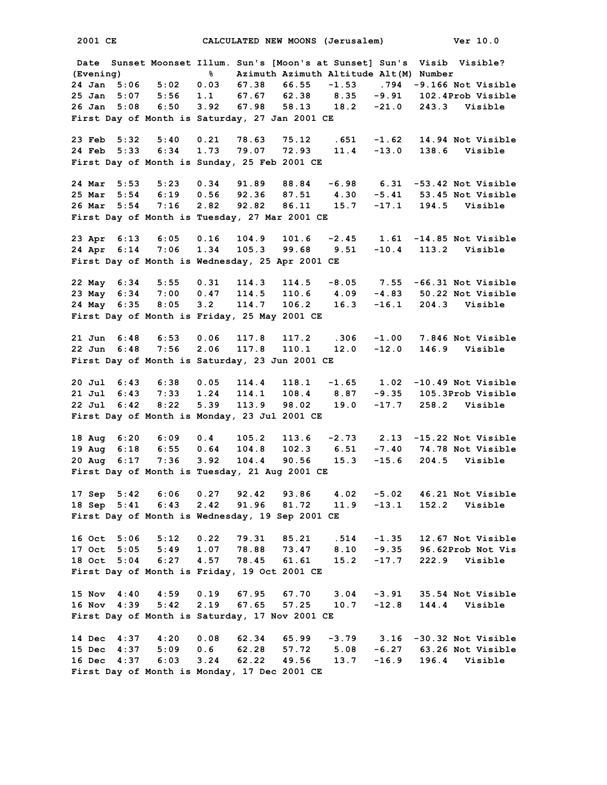**2001 CE CALCULATED NEW MOONS (Jerusalem) Ver 10.0 Date Sunset Moonset Illum. Sun's [Moon's at Sunset] Sun's Visib Visible? (Evening) % Azimuth Azimuth Altitude Alt(M) Number 24 Jan 5:06 5:02 0.03 67.38 66.55 -1.53 .794 -9.166 Not Visible 25 Jan 5:07 5:56 1.1 67.67 62.38 8.35 -9.91 102.4Prob Visible 26 Jan 5:08 6:50 3.92 67.98 58.13 18.2 -21.0 243.3 Visible First Day of Month is Saturday, 27 Jan 2001 CE 23 Feb 5:32 5:40 0.21 78.63 75.12 .651 -1.62 14.94 Not Visible 24 Feb 5:33 6:34 1.73 79.07 72.93 11.4 -13.0 138.6 Visible First Day of Month is Sunday, 25 Feb 2001 CE 24 Mar 5:53 5:23 0.34 91.89 88.84 -6.98 6.31 -53.42 Not Visible 25 Mar 5:54 6:19 0.56 92.36 87.51 4.30 -5.41 53.45 Not Visible 26 Mar 5:54 7:16 2.82 92.82 86.11 15.7 -17.1 194.5 Visible First Day of Month is Tuesday, 27 Mar 2001 CE 23 Apr 6:13 6:05 0.16 104.9 101.6 -2.45 1.61 -14.85 Not Visible 24 Apr 6:14 7:06 1.34 105.3 99.68 9.51 -10.4 113.2 Visible First Day of Month is Wednesday, 25 Apr 2001 CE 22 May 6:34 5:55 0.31 114.3 114.5 -8.05 7.55 -66.31 Not Visible 23 May 6:34 7:00 0.47 114.5 110.6 4.09 -4.83 50.22 Not Visible 24 May 6:35 8:05 3.2 114.7 106.2 16.3 -16.1 204.3 Visible First Day of Month is Friday, 25 May 2001 CE 21 Jun 6:48 6:53 0.06 117.8 117.2 .306 -1.00 7.846 Not Visible 22 Jun 6:48 7:56 2.06 117.8 110.1 12.0 -12.0 146.9 Visible First Day of Month is Saturday, 23 Jun 2001 CE 20 Jul 6:43 6:38 0.05 114.4 118.1 -1.65 1.02 -10.49 Not Visible 21 Jul 6:43 7:33 1.24 114.1 108.4 8.87 -9.35 105.3Prob Visible 22 Jul 6:42 8:22 5.39 113.9 98.02 19.0 -17.7 258.2 Visible First Day of Month is Monday, 23 Jul 2001 CE 18 Aug 6:20 6:09 0.4 105.2 113.6 -2.73 2.13 -15.22 Not Visible 19 Aug 6:18 6:55 0.64 104.8 102.3 6.51 -7.40 74.78 Not Visible 20 Aug 6:17 7:36 3.92 104.4 90.56 15.3 -15.6 204.5 Visible First Day of Month is Tuesday, 21 Aug 2001 CE 17 Sep 5:42 6:06 0.27 92.42 93.86 4.02 -5.02 46.21 Not Visible 18 Sep 5:41 6:43 2.42 91.96 81.72 11.9 -13.1 152.2 Visible First Day of Month is Wednesday, 19 Sep 2001 CE 16 Oct 5:06 5:12 0.22 79.31 85.21 .514 -1.35 12.67 Not Visible 17 Oct 5:05 5:49 1.07 78.88 73.47 8.10 -9.35 96.62Prob Not Vis 18 Oct 5:04 6:27 4.57 78.45 61.61 15.2 -17.7 222.9 Visible First Day of Month is Friday, 19 Oct 2001 CE 15 Nov 4:40 4:59 0.19 67.95 67.70 3.04 -3.91 35.54 Not Visible 16 Nov 4:39 5:42 2.19 67.65 57.25 10.7 -12.8 144.4 Visible First Day of Month is Saturday, 17 Nov 2001 CE 14 Dec 4:37 4:20 0.08 62.34 65.99 -3.79 3.16 -30.32 Not Visible 15 Dec 4:37 5:09 0.6 62.28 57.72 5.08 -6.27 63.26 Not Visible 16 Dec 4:37 6:03 3.24 62.22 49.56 13.7 -16.9 196.4 Visible First Day of Month is Monday, 17 Dec 2001 CE**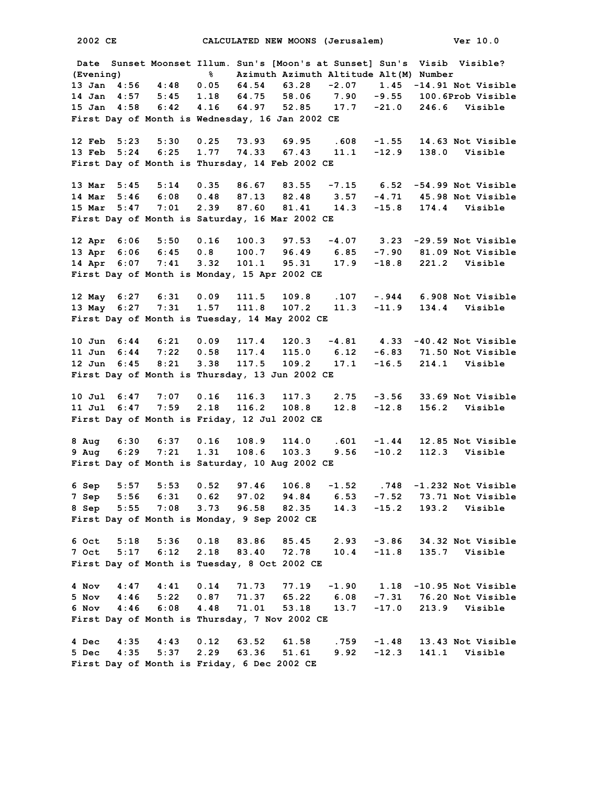**Date Sunset Moonset Illum. Sun's [Moon's at Sunset] Sun's Visib Visible? (Evening) % Azimuth Azimuth Altitude Alt(M) Number 13 Jan 4:56 4:48 0.05 64.54 63.28 -2.07 1.45 -14.91 Not Visible 14 Jan 4:57 5:45 1.18 64.75 58.06 7.90 -9.55 100.6Prob Visible 15 Jan 4:58 6:42 4.16 64.97 52.85 17.7 -21.0 246.6 Visible First Day of Month is Wednesday, 16 Jan 2002 CE 12 Feb 5:23 5:30 0.25 73.93 69.95 .608 -1.55 14.63 Not Visible 13 Feb 5:24 6:25 1.77 74.33 67.43 11.1 -12.9 138.0 Visible First Day of Month is Thursday, 14 Feb 2002 CE 13 Mar 5:45 5:14 0.35 86.67 83.55 -7.15 6.52 -54.99 Not Visible 14 Mar 5:46 6:08 0.48 87.13 82.48 3.57 -4.71 45.98 Not Visible 15 Mar 5:47 7:01 2.39 87.60 81.41 14.3 -15.8 174.4 Visible First Day of Month is Saturday, 16 Mar 2002 CE 12 Apr 6:06 5:50 0.16 100.3 97.53 -4.07 3.23 -29.59 Not Visible 13 Apr 6:06 6:45 0.8 100.7 96.49 6.85 -7.90 81.09 Not Visible 14 Apr 6:07 7:41 3.32 101.1 95.31 17.9 -18.8 221.2 Visible First Day of Month is Monday, 15 Apr 2002 CE 12 May 6:27 6:31 0.09 111.5 109.8 .107 -.944 6.908 Not Visible 13 May 6:27 7:31 1.57 111.8 107.2 11.3 -11.9 134.4 Visible First Day of Month is Tuesday, 14 May 2002 CE 10 Jun 6:44 6:21 0.09 117.4 120.3 -4.81 4.33 -40.42 Not Visible 11 Jun 6:44 7:22 0.58 117.4 115.0 6.12 -6.83 71.50 Not Visible 12 Jun 6:45 8:21 3.38 117.5 109.2 17.1 -16.5 214.1 Visible First Day of Month is Thursday, 13 Jun 2002 CE 10 Jul 6:47 7:07 0.16 116.3 117.3 2.75 -3.56 33.69 Not Visible 11 Jul 6:47 7:59 2.18 116.2 108.8 12.8 -12.8 156.2 Visible First Day of Month is Friday, 12 Jul 2002 CE 8 Aug 6:30 6:37 0.16 108.9 114.0 .601 -1.44 12.85 Not Visible 9 Aug 6:29 7:21 1.31 108.6 103.3 9.56 -10.2 112.3 Visible First Day of Month is Saturday, 10 Aug 2002 CE 6 Sep 5:57 5:53 0.52 97.46 106.8 -1.52 .748 -1.232 Not Visible 7 Sep 5:56 6:31 0.62 97.02 94.84 6.53 -7.52 73.71 Not Visible 8 Sep 5:55 7:08 3.73 96.58 82.35 14.3 -15.2 193.2 Visible First Day of Month is Monday, 9 Sep 2002 CE 6 Oct 5:18 5:36 0.18 83.86 85.45 2.93 -3.86 34.32 Not Visible 7 Oct 5:17 6:12 2.18 83.40 72.78 10.4 -11.8 135.7 Visible First Day of Month is Tuesday, 8 Oct 2002 CE 4 Nov 4:47 4:41 0.14 71.73 77.19 -1.90 1.18 -10.95 Not Visible 5 Nov 4:46 5:22 0.87 71.37 65.22 6.08 -7.31 76.20 Not Visible 6 Nov 4:46 6:08 4.48 71.01 53.18 13.7 -17.0 213.9 Visible First Day of Month is Thursday, 7 Nov 2002 CE 4 Dec 4:35 4:43 0.12 63.52 61.58 .759 -1.48 13.43 Not Visible 5 Dec 4:35 5:37 2.29 63.36 51.61 9.92 -12.3 141.1 Visible First Day of Month is Friday, 6 Dec 2002 CE**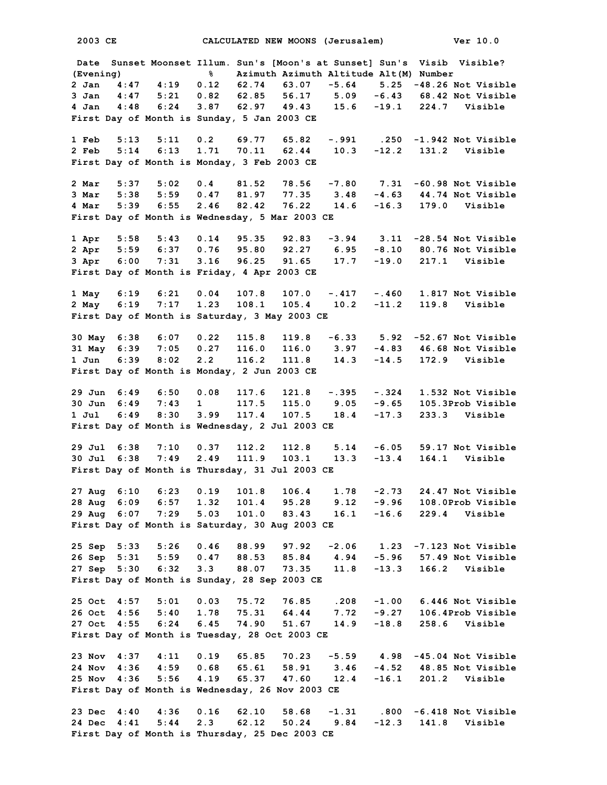**2003 CE CALCULATED NEW MOONS (Jerusalem) Ver 10.0 Date Sunset Moonset Illum. Sun's [Moon's at Sunset] Sun's Visib Visible? (Evening) % Azimuth Azimuth Altitude Alt(M) Number 2 Jan 4:47 4:19 0.12 62.74 63.07 -5.64 5.25 -48.26 Not Visible 3 Jan 4:47 5:21 0.82 62.85 56.17 5.09 -6.43 68.42 Not Visible 4 Jan 4:48 6:24 3.87 62.97 49.43 15.6 -19.1 224.7 Visible First Day of Month is Sunday, 5 Jan 2003 CE 1 Feb 5:13 5:11 0.2 69.77 65.82 -.991 .250 -1.942 Not Visible 2 Feb 5:14 6:13 1.71 70.11 62.44 10.3 -12.2 131.2 Visible First Day of Month is Monday, 3 Feb 2003 CE 2 Mar 5:37 5:02 0.4 81.52 78.56 -7.80 7.31 -60.98 Not Visible 3 Mar 5:38 5:59 0.47 81.97 77.35 3.48 -4.63 44.74 Not Visible 4 Mar 5:39 6:55 2.46 82.42 76.22 14.6 -16.3 179.0 Visible First Day of Month is Wednesday, 5 Mar 2003 CE 1 Apr 5:58 5:43 0.14 95.35 92.83 -3.94 3.11 -28.54 Not Visible 2 Apr 5:59 6:37 0.76 95.80 92.27 6.95 -8.10 80.76 Not Visible 3 Apr 6:00 7:31 3.16 96.25 91.65 17.7 -19.0 217.1 Visible First Day of Month is Friday, 4 Apr 2003 CE 1 May 6:19 6:21 0.04 107.8 107.0 -.417 -.460 1.817 Not Visible 2 May 6:19 7:17 1.23 108.1 105.4 10.2 -11.2 119.8 Visible First Day of Month is Saturday, 3 May 2003 CE 30 May 6:38 6:07 0.22 115.8 119.8 -6.33 5.92 -52.67 Not Visible 31 May 6:39 7:05 0.27 116.0 116.0 3.97 -4.83 46.68 Not Visible 1 Jun 6:39 8:02 2.2 116.2 111.8 14.3 -14.5 172.9 Visible First Day of Month is Monday, 2 Jun 2003 CE 29 Jun 6:49 6:50 0.08 117.6 121.8 -.395 -.324 1.532 Not Visible 30 Jun 6:49 7:43 1 117.5 115.0 9.05 -9.65 105.3Prob Visible 1 Jul 6:49 8:30 3.99 117.4 107.5 18.4 -17.3 233.3 Visible First Day of Month is Wednesday, 2 Jul 2003 CE 29 Jul 6:38 7:10 0.37 112.2 112.8 5.14 -6.05 59.17 Not Visible 30 Jul 6:38 7:49 2.49 111.9 103.1 13.3 -13.4 164.1 Visible First Day of Month is Thursday, 31 Jul 2003 CE 27 Aug 6:10 6:23 0.19 101.8 106.4 1.78 -2.73 24.47 Not Visible 28 Aug 6:09 6:57 1.32 101.4 95.28 9.12 -9.96 108.0Prob Visible 29 Aug 6:07 7:29 5.03 101.0 83.43 16.1 -16.6 229.4 Visible First Day of Month is Saturday, 30 Aug 2003 CE 25 Sep 5:33 5:26 0.46 88.99 97.92 -2.06 1.23 -7.123 Not Visible 26 Sep 5:31 5:59 0.47 88.53 85.84 4.94 -5.96 57.49 Not Visible 27 Sep 5:30 6:32 3.3 88.07 73.35 11.8 -13.3 166.2 Visible First Day of Month is Sunday, 28 Sep 2003 CE 25 Oct 4:57 5:01 0.03 75.72 76.85 .208 -1.00 6.446 Not Visible 26 Oct 4:56 5:40 1.78 75.31 64.44 7.72 -9.27 106.4Prob Visible 27 Oct 4:55 6:24 6.45 74.90 51.67 14.9 -18.8 258.6 Visible First Day of Month is Tuesday, 28 Oct 2003 CE 23 Nov 4:37 4:11 0.19 65.85 70.23 -5.59 4.98 -45.04 Not Visible 24 Nov 4:36 4:59 0.68 65.61 58.91 3.46 -4.52 48.85 Not Visible 25 Nov 4:36 5:56 4.19 65.37 47.60 12.4 -16.1 201.2 Visible First Day of Month is Wednesday, 26 Nov 2003 CE 23 Dec 4:40 4:36 0.16 62.10 58.68 -1.31 .800 -6.418 Not Visible 24 Dec 4:41 5:44 2.3 62.12 50.24 9.84 -12.3 141.8 Visible First Day of Month is Thursday, 25 Dec 2003 CE**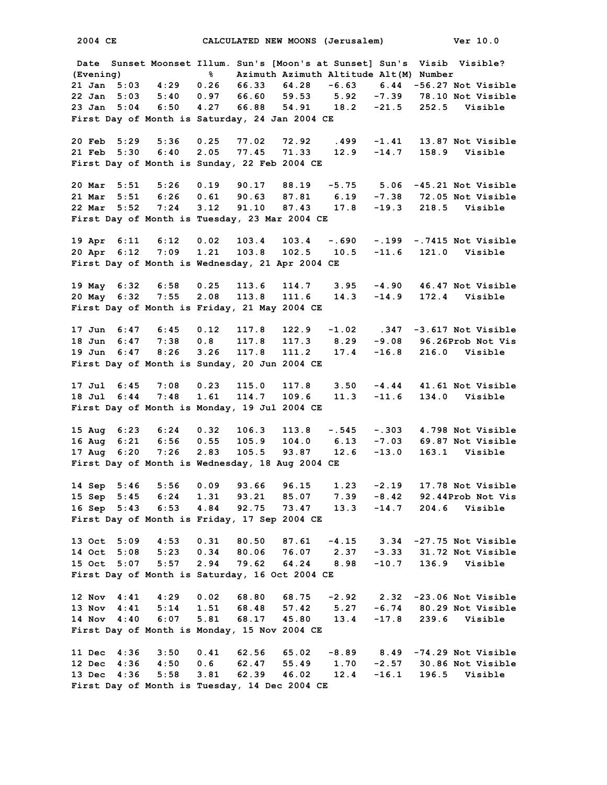**Date Sunset Moonset Illum. Sun's [Moon's at Sunset] Sun's Visib Visible? (Evening) % Azimuth Azimuth Altitude Alt(M) Number 21 Jan 5:03 4:29 0.26 66.33 64.28 -6.63 6.44 -56.27 Not Visible 22 Jan 5:03 5:40 0.97 66.60 59.53 5.92 -7.39 78.10 Not Visible 23 Jan 5:04 6:50 4.27 66.88 54.91 18.2 -21.5 252.5 Visible First Day of Month is Saturday, 24 Jan 2004 CE 20 Feb 5:29 5:36 0.25 77.02 72.92 .499 -1.41 13.87 Not Visible 21 Feb 5:30 6:40 2.05 77.45 71.33 12.9 -14.7 158.9 Visible First Day of Month is Sunday, 22 Feb 2004 CE 20 Mar 5:51 5:26 0.19 90.17 88.19 -5.75 5.06 -45.21 Not Visible 21 Mar 5:51 6:26 0.61 90.63 87.81 6.19 -7.38 72.05 Not Visible 22 Mar 5:52 7:24 3.12 91.10 87.43 17.8 -19.3 218.5 Visible First Day of Month is Tuesday, 23 Mar 2004 CE 19 Apr 6:11 6:12 0.02 103.4 103.4 -.690 -.199 -.7415 Not Visible 20 Apr 6:12 7:09 1.21 103.8 102.5 10.5 -11.6 121.0 Visible First Day of Month is Wednesday, 21 Apr 2004 CE 19 May 6:32 6:58 0.25 113.6 114.7 3.95 -4.90 46.47 Not Visible 20 May 6:32 7:55 2.08 113.8 111.6 14.3 -14.9 172.4 Visible First Day of Month is Friday, 21 May 2004 CE 17 Jun 6:47 6:45 0.12 117.8 122.9 -1.02 .347 -3.617 Not Visible 18 Jun 6:47 7:38 0.8 117.8 117.3 8.29 -9.08 96.26Prob Not Vis 19 Jun 6:47 8:26 3.26 117.8 111.2 17.4 -16.8 216.0 Visible First Day of Month is Sunday, 20 Jun 2004 CE 17 Jul 6:45 7:08 0.23 115.0 117.8 3.50 -4.44 41.61 Not Visible 18 Jul 6:44 7:48 1.61 114.7 109.6 11.3 -11.6 134.0 Visible First Day of Month is Monday, 19 Jul 2004 CE 15 Aug 6:23 6:24 0.32 106.3 113.8 -.545 -.303 4.798 Not Visible 16 Aug 6:21 6:56 0.55 105.9 104.0 6.13 -7.03 69.87 Not Visible 17 Aug 6:20 7:26 2.83 105.5 93.87 12.6 -13.0 163.1 Visible First Day of Month is Wednesday, 18 Aug 2004 CE 14 Sep 5:46 5:56 0.09 93.66 96.15 1.23 -2.19 17.78 Not Visible 15 Sep 5:45 6:24 1.31 93.21 85.07 7.39 -8.42 92.44Prob Not Vis 16 Sep 5:43 6:53 4.84 92.75 73.47 13.3 -14.7 204.6 Visible First Day of Month is Friday, 17 Sep 2004 CE 13 Oct 5:09 4:53 0.31 80.50 87.61 -4.15 3.34 -27.75 Not Visible 14 Oct 5:08 5:23 0.34 80.06 76.07 2.37 -3.33 31.72 Not Visible 15 Oct 5:07 5:57 2.94 79.62 64.24 8.98 -10.7 136.9 Visible First Day of Month is Saturday, 16 Oct 2004 CE 12 Nov 4:41 4:29 0.02 68.80 68.75 -2.92 2.32 -23.06 Not Visible 13 Nov 4:41 5:14 1.51 68.48 57.42 5.27 -6.74 80.29 Not Visible 14 Nov 4:40 6:07 5.81 68.17 45.80 13.4 -17.8 239.6 Visible First Day of Month is Monday, 15 Nov 2004 CE 11 Dec 4:36 3:50 0.41 62.56 65.02 -8.89 8.49 -74.29 Not Visible 12 Dec 4:36 4:50 0.6 62.47 55.49 1.70 -2.57 30.86 Not Visible 13 Dec 4:36 5:58 3.81 62.39 46.02 12.4 -16.1 196.5 Visible First Day of Month is Tuesday, 14 Dec 2004 CE**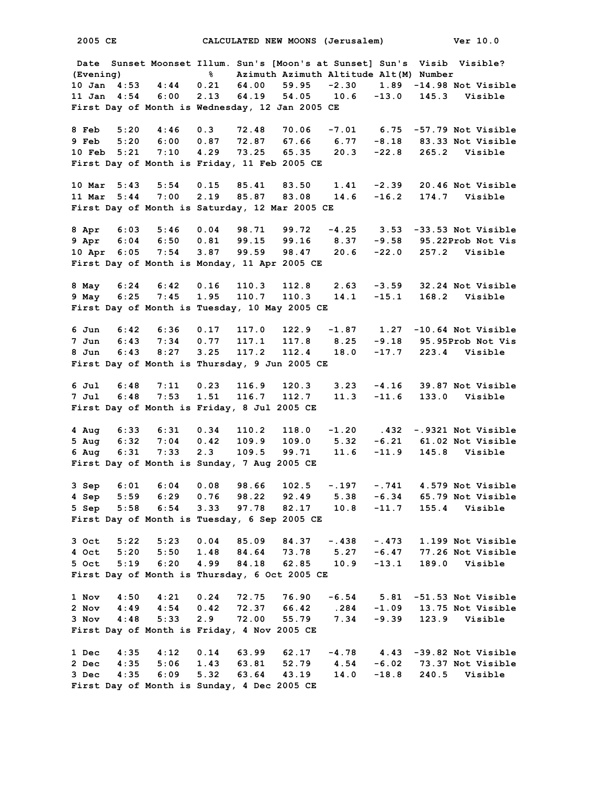**Date Sunset Moonset Illum. Sun's [Moon's at Sunset] Sun's Visib Visible? (Evening) % Azimuth Azimuth Altitude Alt(M) Number 10 Jan 4:53 4:44 0.21 64.00 59.95 -2.30 1.89 -14.98 Not Visible 11 Jan 4:54 6:00 2.13 64.19 54.05 10.6 -13.0 145.3 Visible First Day of Month is Wednesday, 12 Jan 2005 CE 8 Feb 5:20 4:46 0.3 72.48 70.06 -7.01 6.75 -57.79 Not Visible 9 Feb 5:20 6:00 0.87 72.87 67.66 6.77 -8.18 83.33 Not Visible 10 Feb 5:21 7:10 4.29 73.25 65.35 20.3 -22.8 265.2 Visible First Day of Month is Friday, 11 Feb 2005 CE 10 Mar 5:43 5:54 0.15 85.41 83.50 1.41 -2.39 20.46 Not Visible 11 Mar 5:44 7:00 2.19 85.87 83.08 14.6 -16.2 174.7 Visible First Day of Month is Saturday, 12 Mar 2005 CE 8 Apr 6:03 5:46 0.04 98.71 99.72 -4.25 3.53 -33.53 Not Visible 9 Apr 6:04 6:50 0.81 99.15 99.16 8.37 -9.58 95.22Prob Not Vis 10 Apr 6:05 7:54 3.87 99.59 98.47 20.6 -22.0 257.2 Visible First Day of Month is Monday, 11 Apr 2005 CE 8 May 6:24 6:42 0.16 110.3 112.8 2.63 -3.59 32.24 Not Visible 9 May 6:25 7:45 1.95 110.7 110.3 14.1 -15.1 168.2 Visible First Day of Month is Tuesday, 10 May 2005 CE 6 Jun 6:42 6:36 0.17 117.0 122.9 -1.87 1.27 -10.64 Not Visible 7 Jun 6:43 7:34 0.77 117.1 117.8 8.25 -9.18 95.95Prob Not Vis 8 Jun 6:43 8:27 3.25 117.2 112.4 18.0 -17.7 223.4 Visible First Day of Month is Thursday, 9 Jun 2005 CE 6 Jul 6:48 7:11 0.23 116.9 120.3 3.23 -4.16 39.87 Not Visible 7 Jul 6:48 7:53 1.51 116.7 112.7 11.3 -11.6 133.0 Visible First Day of Month is Friday, 8 Jul 2005 CE 4 Aug 6:33 6:31 0.34 110.2 118.0 -1.20 .432 -.9321 Not Visible 5 Aug 6:32 7:04 0.42 109.9 109.0 5.32 -6.21 61.02 Not Visible 6 Aug 6:31 7:33 2.3 109.5 99.71 11.6 -11.9 145.8 Visible First Day of Month is Sunday, 7 Aug 2005 CE 3 Sep 6:01 6:04 0.08 98.66 102.5 -.197 -.741 4.579 Not Visible 4 Sep 5:59 6:29 0.76 98.22 92.49 5.38 -6.34 65.79 Not Visible 5 Sep 5:58 6:54 3.33 97.78 82.17 10.8 -11.7 155.4 Visible First Day of Month is Tuesday, 6 Sep 2005 CE 3 Oct 5:22 5:23 0.04 85.09 84.37 -.438 -.473 1.199 Not Visible 4 Oct 5:20 5:50 1.48 84.64 73.78 5.27 -6.47 77.26 Not Visible 5 Oct 5:19 6:20 4.99 84.18 62.85 10.9 -13.1 189.0 Visible First Day of Month is Thursday, 6 Oct 2005 CE 1 Nov 4:50 4:21 0.24 72.75 76.90 -6.54 5.81 -51.53 Not Visible 2 Nov 4:49 4:54 0.42 72.37 66.42 .284 -1.09 13.75 Not Visible 3 Nov 4:48 5:33 2.9 72.00 55.79 7.34 -9.39 123.9 Visible First Day of Month is Friday, 4 Nov 2005 CE 1 Dec 4:35 4:12 0.14 63.99 62.17 -4.78 4.43 -39.82 Not Visible 2 Dec 4:35 5:06 1.43 63.81 52.79 4.54 -6.02 73.37 Not Visible 3 Dec 4:35 6:09 5.32 63.64 43.19 14.0 -18.8 240.5 Visible First Day of Month is Sunday, 4 Dec 2005 CE**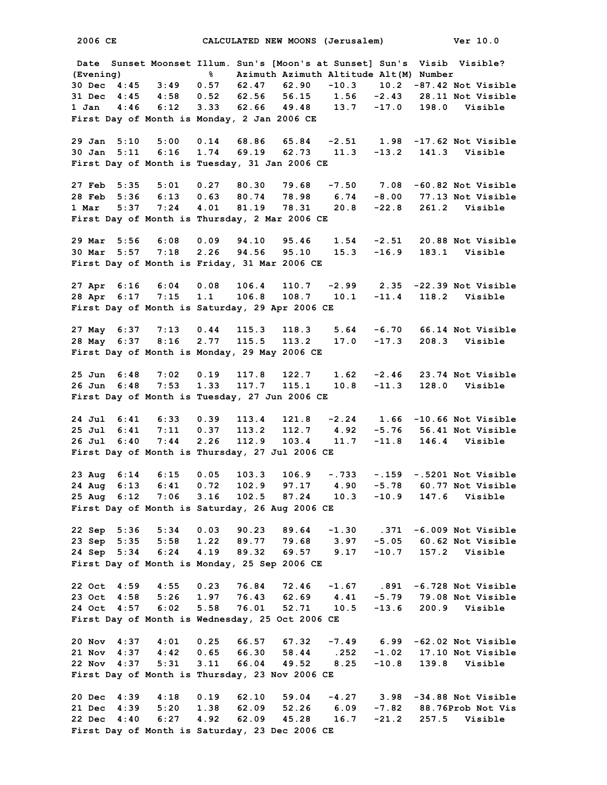**Date Sunset Moonset Illum. Sun's [Moon's at Sunset] Sun's Visib Visible? (Evening) % Azimuth Azimuth Altitude Alt(M) Number 30 Dec 4:45 3:49 0.57 62.47 62.90 -10.3 10.2 -87.42 Not Visible 31 Dec 4:45 4:58 0.52 62.56 56.15 1.56 -2.43 28.11 Not Visible 1 Jan 4:46 6:12 3.33 62.66 49.48 13.7 -17.0 198.0 Visible First Day of Month is Monday, 2 Jan 2006 CE 29 Jan 5:10 5:00 0.14 68.86 65.84 -2.51 1.98 -17.62 Not Visible 30 Jan 5:11 6:16 1.74 69.19 62.73 11.3 -13.2 141.3 Visible First Day of Month is Tuesday, 31 Jan 2006 CE 27 Feb 5:35 5:01 0.27 80.30 79.68 -7.50 7.08 -60.82 Not Visible 28 Feb 5:36 6:13 0.63 80.74 78.98 6.74 -8.00 77.13 Not Visible 1 Mar 5:37 7:24 4.01 81.19 78.31 20.8 -22.8 261.2 Visible First Day of Month is Thursday, 2 Mar 2006 CE 29 Mar 5:56 6:08 0.09 94.10 95.46 1.54 -2.51 20.88 Not Visible 30 Mar 5:57 7:18 2.26 94.56 95.10 15.3 -16.9 183.1 Visible First Day of Month is Friday, 31 Mar 2006 CE 27 Apr 6:16 6:04 0.08 106.4 110.7 -2.99 2.35 -22.39 Not Visible 28 Apr 6:17 7:15 1.1 106.8 108.7 10.1 -11.4 118.2 Visible First Day of Month is Saturday, 29 Apr 2006 CE 27 May 6:37 7:13 0.44 115.3 118.3 5.64 -6.70 66.14 Not Visible 28 May 6:37 8:16 2.77 115.5 113.2 17.0 -17.3 208.3 Visible First Day of Month is Monday, 29 May 2006 CE 25 Jun 6:48 7:02 0.19 117.8 122.7 1.62 -2.46 23.74 Not Visible 26 Jun 6:48 7:53 1.33 117.7 115.1 10.8 -11.3 128.0 Visible First Day of Month is Tuesday, 27 Jun 2006 CE 24 Jul 6:41 6:33 0.39 113.4 121.8 -2.24 1.66 -10.66 Not Visible 25 Jul 6:41 7:11 0.37 113.2 112.7 4.92 -5.76 56.41 Not Visible 26 Jul 6:40 7:44 2.26 112.9 103.4 11.7 -11.8 146.4 Visible First Day of Month is Thursday, 27 Jul 2006 CE 23 Aug 6:14 6:15 0.05 103.3 106.9 -.733 -.159 -.5201 Not Visible 24 Aug 6:13 6:41 0.72 102.9 97.17 4.90 -5.78 60.77 Not Visible 25 Aug 6:12 7:06 3.16 102.5 87.24 10.3 -10.9 147.6 Visible First Day of Month is Saturday, 26 Aug 2006 CE 22 Sep 5:36 5:34 0.03 90.23 89.64 -1.30 .371 -6.009 Not Visible 23 Sep 5:35 5:58 1.22 89.77 79.68 3.97 -5.05 60.62 Not Visible 24 Sep 5:34 6:24 4.19 89.32 69.57 9.17 -10.7 157.2 Visible First Day of Month is Monday, 25 Sep 2006 CE 22 Oct 4:59 4:55 0.23 76.84 72.46 -1.67 .891 -6.728 Not Visible 23 Oct 4:58 5:26 1.97 76.43 62.69 4.41 -5.79 79.08 Not Visible 24 Oct 4:57 6:02 5.58 76.01 52.71 10.5 -13.6 200.9 Visible First Day of Month is Wednesday, 25 Oct 2006 CE 20 Nov 4:37 4:01 0.25 66.57 67.32 -7.49 6.99 -62.02 Not Visible 21 Nov 4:37 4:42 0.65 66.30 58.44 .252 -1.02 17.10 Not Visible** 22 Nov 4:37 5:31 3.11 66.04 49.52 8.25 **First Day of Month is Thursday, 23 Nov 2006 CE 20 Dec 4:39 4:18 0.19 62.10 59.04 -4.27 3.98 -34.88 Not Visible 21 Dec 4:39 5:20 1.38 62.09 52.26 6.09 -7.82 88.76Prob Not Vis 22 Dec 4:40 6:27 4.92 62.09 45.28 16.7 -21.2 257.5 Visible First Day of Month is Saturday, 23 Dec 2006 CE**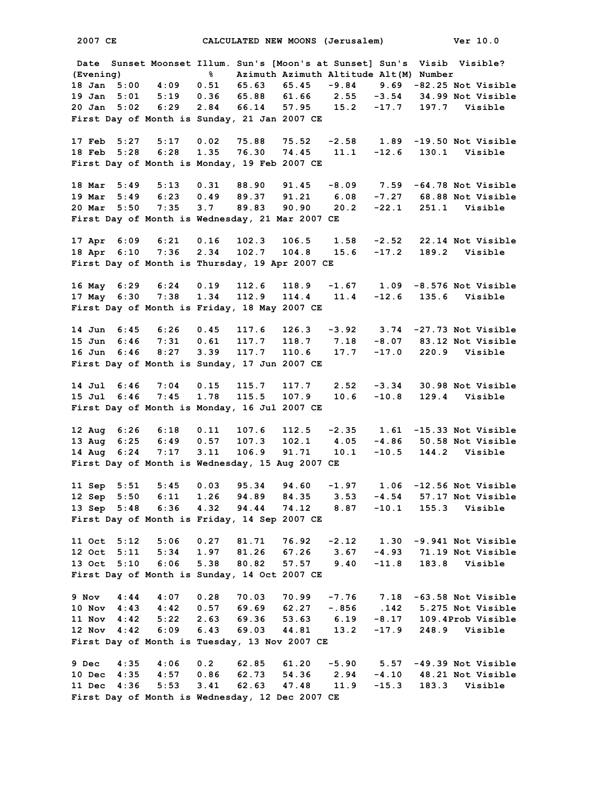**Date Sunset Moonset Illum. Sun's [Moon's at Sunset] Sun's Visib Visible? (Evening) % Azimuth Azimuth Altitude Alt(M) Number 18 Jan 5:00 4:09 0.51 65.63 65.45 -9.84 9.69 -82.25 Not Visible 19 Jan 5:01 5:19 0.36 65.88 61.66 2.55 -3.54 34.99 Not Visible 20 Jan 5:02 6:29 2.84 66.14 57.95 15.2 -17.7 197.7 Visible First Day of Month is Sunday, 21 Jan 2007 CE 17 Feb 5:27 5:17 0.02 75.88 75.52 -2.58 1.89 -19.50 Not Visible 18 Feb 5:28 6:28 1.35 76.30 74.45 11.1 -12.6 130.1 Visible First Day of Month is Monday, 19 Feb 2007 CE 18 Mar 5:49 5:13 0.31 88.90 91.45 -8.09 7.59 -64.78 Not Visible 19 Mar 5:49 6:23 0.49 89.37 91.21 6.08 -7.27 68.88 Not Visible 20 Mar 5:50 7:35 3.7 89.83 90.90 20.2 -22.1 251.1 Visible First Day of Month is Wednesday, 21 Mar 2007 CE 17 Apr 6:09 6:21 0.16 102.3 106.5 1.58 -2.52 22.14 Not Visible 18 Apr 6:10 7:36 2.34 102.7 104.8 15.6 -17.2 189.2 Visible First Day of Month is Thursday, 19 Apr 2007 CE 16 May 6:29 6:24 0.19 112.6 118.9 -1.67 1.09 -8.576 Not Visible 17 May 6:30 7:38 1.34 112.9 114.4 11.4 -12.6 135.6 Visible First Day of Month is Friday, 18 May 2007 CE 14 Jun 6:45 6:26 0.45 117.6 126.3 -3.92 3.74 -27.73 Not Visible 15 Jun 6:46 7:31 0.61 117.7 118.7 7.18 -8.07 83.12 Not Visible 16 Jun 6:46 8:27 3.39 117.7 110.6 17.7 -17.0 220.9 Visible First Day of Month is Sunday, 17 Jun 2007 CE 14 Jul 6:46 7:04 0.15 115.7 117.7 2.52 -3.34 30.98 Not Visible 15 Jul 6:46 7:45 1.78 115.5 107.9 10.6 -10.8 129.4 Visible First Day of Month is Monday, 16 Jul 2007 CE 12 Aug 6:26 6:18 0.11 107.6 112.5 -2.35 1.61 -15.33 Not Visible 13 Aug 6:25 6:49 0.57 107.3 102.1 4.05 -4.86 50.58 Not Visible 14 Aug 6:24 7:17 3.11 106.9 91.71 10.1 -10.5 144.2 Visible First Day of Month is Wednesday, 15 Aug 2007 CE 11 Sep 5:51 5:45 0.03 95.34 94.60 -1.97 1.06 -12.56 Not Visible 12 Sep 5:50 6:11 1.26 94.89 84.35 3.53 -4.54 57.17 Not Visible 13 Sep 5:48 6:36 4.32 94.44 74.12 8.87 -10.1 155.3 Visible First Day of Month is Friday, 14 Sep 2007 CE 11 Oct 5:12 5:06 0.27 81.71 76.92 -2.12 1.30 -9.941 Not Visible 12 Oct 5:11 5:34 1.97 81.26 67.26 3.67 -4.93 71.19 Not Visible 13 Oct 5:10 6:06 5.38 80.82 57.57 9.40 -11.8 183.8 Visible First Day of Month is Sunday, 14 Oct 2007 CE 9 Nov 4:44 4:07 0.28 70.03 70.99 -7.76 7.18 -63.58 Not Visible 10 Nov 4:43 4:42 0.57 69.69 62.27 -.856 .142 5.275 Not Visible 11 Nov 4:42 5:22 2.63 69.36 53.63 6.19 -8.17 109.4Prob Visible 12 Nov 4:42 6:09 6.43 69.03 44.81 13.2 -17.9 248.9 Visible First Day of Month is Tuesday, 13 Nov 2007 CE 9 Dec 4:35 4:06 0.2 62.85 61.20 -5.90 5.57 -49.39 Not Visible 10 Dec 4:35 4:57 0.86 62.73 54.36 2.94 -4.10 48.21 Not Visible 11 Dec 4:36 5:53 3.41 62.63 47.48 11.9 -15.3 183.3 Visible First Day of Month is Wednesday, 12 Dec 2007 CE**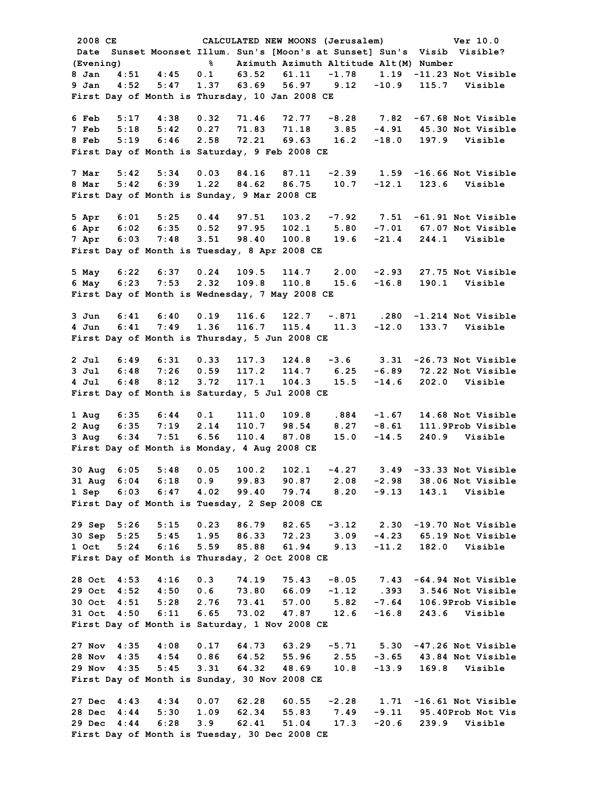**2008 CE CALCULATED NEW MOONS (Jerusalem) Ver 10.0 Date Sunset Moonset Illum. Sun's [Moon's at Sunset] Sun's Visib Visible? (Evening) % Azimuth Azimuth Altitude Alt(M) Number 8 Jan 4:51 4:45 0.1 63.52 61.11 -1.78 1.19 -11.23 Not Visible 9 Jan 4:52 5:47 1.37 63.69 56.97 9.12 -10.9 115.7 Visible First Day of Month is Thursday, 10 Jan 2008 CE 6 Feb 5:17 4:38 0.32 71.46 72.77 -8.28 7.82 -67.68 Not Visible 7 Feb 5:18 5:42 0.27 71.83 71.18 3.85 -4.91 45.30 Not Visible 8 Feb 5:19 6:46 2.58 72.21 69.63 16.2 -18.0 197.9 Visible First Day of Month is Saturday, 9 Feb 2008 CE 7 Mar 5:42 5:34 0.03 84.16 87.11 -2.39 1.59 -16.66 Not Visible 8 Mar 5:42 6:39 1.22 84.62 86.75 10.7 -12.1 123.6 Visible First Day of Month is Sunday, 9 Mar 2008 CE 5 Apr 6:01 5:25 0.44 97.51 103.2 -7.92 7.51 -61.91 Not Visible 6 Apr 6:02 6:35 0.52 97.95 102.1 5.80 -7.01 67.07 Not Visible 7 Apr 6:03 7:48 3.51 98.40 100.8 19.6 -21.4 244.1 Visible First Day of Month is Tuesday, 8 Apr 2008 CE 5 May 6:22 6:37 0.24 109.5 114.7 2.00 -2.93 27.75 Not Visible 6 May 6:23 7:53 2.32 109.8 110.8 15.6 -16.8 190.1 Visible First Day of Month is Wednesday, 7 May 2008 CE 3 Jun 6:41 6:40 0.19 116.6 122.7 -.871 .280 -1.214 Not Visible 4 Jun 6:41 7:49 1.36 116.7 115.4 11.3 -12.0 133.7 Visible First Day of Month is Thursday, 5 Jun 2008 CE 2 Jul 6:49 6:31 0.33 117.3 124.8 -3.6 3.31 -26.73 Not Visible 3 Jul 6:48 7:26 0.59 117.2 114.7 6.25 -6.89 72.22 Not Visible 4 Jul 6:48 8:12 3.72 117.1 104.3 15.5 -14.6 202.0 Visible First Day of Month is Saturday, 5 Jul 2008 CE 1 Aug 6:35 6:44 0.1 111.0 109.8 .884 -1.67 14.68 Not Visible 2 Aug 6:35 7:19 2.14 110.7 98.54 8.27 -8.61 111.9Prob Visible 3 Aug 6:34 7:51 6.56 110.4 87.08 15.0 -14.5 240.9 Visible First Day of Month is Monday, 4 Aug 2008 CE 30 Aug 6:05 5:48 0.05 100.2 102.1 -4.27 3.49 -33.33 Not Visible 31 Aug 6:04 6:18 0.9 99.83 90.87 2.08 -2.98 38.06 Not Visible 1 Sep 6:03 6:47 4.02 99.40 79.74 8.20 -9.13 143.1 Visible First Day of Month is Tuesday, 2 Sep 2008 CE 29 Sep 5:26 5:15 0.23 86.79 82.65 -3.12 2.30 -19.70 Not Visible 30 Sep 5:25 5:45 1.95 86.33 72.23 3.09 -4.23 65.19 Not Visible 1 Oct 5:24 6:16 5.59 85.88 61.94 9.13 -11.2 182.0 Visible First Day of Month is Thursday, 2 Oct 2008 CE 28 Oct 4:53 4:16 0.3 74.19 75.43 -8.05 7.43 -64.94 Not Visible 29 Oct 4:52 4:50 0.6 73.80 66.09 -1.12 .393 3.546 Not Visible 30 Oct 4:51 5:28 2.76 73.41 57.00 5.82 -7.64 106.9Prob Visible 31 Oct 4:50 6:11 6.65 73.02 47.87 12.6 -16.8 243.6 Visible First Day of Month is Saturday, 1 Nov 2008 CE 27 Nov 4:35 4:08 0.17 64.73 63.29 -5.71 5.30 -47.26 Not Visible 28 Nov 4:35 4:54 0.86 64.52 55.96 2.55 -3.65 43.84 Not Visible 29 Nov 4:35 5:45 3.31 64.32 48.69 10.8 -13.9 169.8 Visible First Day of Month is Sunday, 30 Nov 2008 CE 27 Dec 4:43 4:34 0.07 62.28 60.55 -2.28 1.71 -16.61 Not Visible 28 Dec 4:44 5:30 1.09 62.34 55.83 7.49 -9.11 95.40Prob Not Vis 29 Dec 4:44 6:28 3.9 62.41 51.04 17.3 -20.6 239.9 Visible First Day of Month is Tuesday, 30 Dec 2008 CE**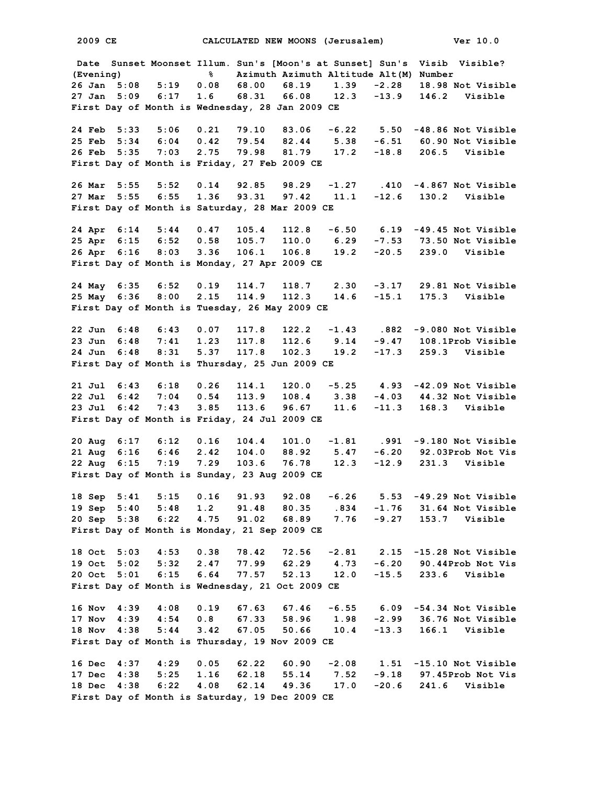**2009 CE CALCULATED NEW MOONS (Jerusalem) Ver 10.0 Date Sunset Moonset Illum. Sun's [Moon's at Sunset] Sun's Visib Visible? (Evening) % Azimuth Azimuth Altitude Alt(M) Number 26 Jan 5:08 5:19 0.08 68.00 68.19 1.39 -2.28 18.98 Not Visible 27 Jan 5:09 6:17 1.6 68.31 66.08 12.3 -13.9 146.2 Visible First Day of Month is Wednesday, 28 Jan 2009 CE 24 Feb 5:33 5:06 0.21 79.10 83.06 -6.22 5.50 -48.86 Not Visible 25 Feb 5:34 6:04 0.42 79.54 82.44 5.38 -6.51 60.90 Not Visible 26 Feb 5:35 7:03 2.75 79.98 81.79 17.2 -18.8 206.5 Visible First Day of Month is Friday, 27 Feb 2009 CE 26 Mar 5:55 5:52 0.14 92.85 98.29 -1.27 .410 -4.867 Not Visible 27 Mar 5:55 6:55 1.36 93.31 97.42 11.1 -12.6 130.2 Visible First Day of Month is Saturday, 28 Mar 2009 CE 24 Apr 6:14 5:44 0.47 105.4 112.8 -6.50 6.19 -49.45 Not Visible 25 Apr 6:15 6:52 0.58 105.7 110.0 6.29 -7.53 73.50 Not Visible 26 Apr 6:16 8:03 3.36 106.1 106.8 19.2 -20.5 239.0 Visible First Day of Month is Monday, 27 Apr 2009 CE 24 May 6:35 6:52 0.19 114.7 118.7 2.30 -3.17 29.81 Not Visible 25 May 6:36 8:00 2.15 114.9 112.3 14.6 -15.1 175.3 Visible First Day of Month is Tuesday, 26 May 2009 CE 22 Jun 6:48 6:43 0.07 117.8 122.2 -1.43 .882 -9.080 Not Visible 23 Jun 6:48 7:41 1.23 117.8 112.6 9.14 -9.47 108.1Prob Visible 24 Jun 6:48 8:31 5.37 117.8 102.3 19.2 -17.3 259.3 Visible First Day of Month is Thursday, 25 Jun 2009 CE 21 Jul 6:43 6:18 0.26 114.1 120.0 -5.25 4.93 -42.09 Not Visible 22 Jul 6:42 7:04 0.54 113.9 108.4 3.38 -4.03 44.32 Not Visible 23 Jul 6:42 7:43 3.85 113.6 96.67 11.6 -11.3 168.3 Visible First Day of Month is Friday, 24 Jul 2009 CE 20 Aug 6:17 6:12 0.16 104.4 101.0 -1.81 .991 -9.180 Not Visible 21 Aug 6:16 6:46 2.42 104.0 88.92 5.47 -6.20 92.03Prob Not Vis 22 Aug 6:15 7:19 7.29 103.6 76.78 12.3 -12.9 231.3 Visible First Day of Month is Sunday, 23 Aug 2009 CE 18 Sep 5:41 5:15 0.16 91.93 92.08 -6.26 5.53 -49.29 Not Visible 19 Sep 5:40 5:48 1.2 91.48 80.35 .834 -1.76 31.64 Not Visible 20 Sep 5:38 6:22 4.75 91.02 68.89 7.76 -9.27 153.7 Visible First Day of Month is Monday, 21 Sep 2009 CE 18 Oct 5:03 4:53 0.38 78.42 72.56 -2.81 2.15 -15.28 Not Visible 19 Oct 5:02 5:32 2.47 77.99 62.29 4.73 -6.20 90.44Prob Not Vis 20 Oct 5:01 6:15 6.64 77.57 52.13 12.0 -15.5 233.6 Visible First Day of Month is Wednesday, 21 Oct 2009 CE 16 Nov 4:39 4:08 0.19 67.63 67.46 -6.55 6.09 -54.34 Not Visible 17 Nov 4:39 4:54 0.8 67.33 58.96 1.98 -2.99 36.76 Not Visible 18 Nov 4:38 5:44 3.42 67.05 50.66 10.4 -13.3 166.1 Visible First Day of Month is Thursday, 19 Nov 2009 CE 16 Dec 4:37 4:29 0.05 62.22 60.90 -2.08 1.51 -15.10 Not Visible 17 Dec 4:38 5:25 1.16 62.18 55.14 7.52 -9.18 97.45Prob Not Vis 18 Dec 4:38 6:22 4.08 62.14 49.36 17.0 -20.6 241.6 Visible First Day of Month is Saturday, 19 Dec 2009 CE**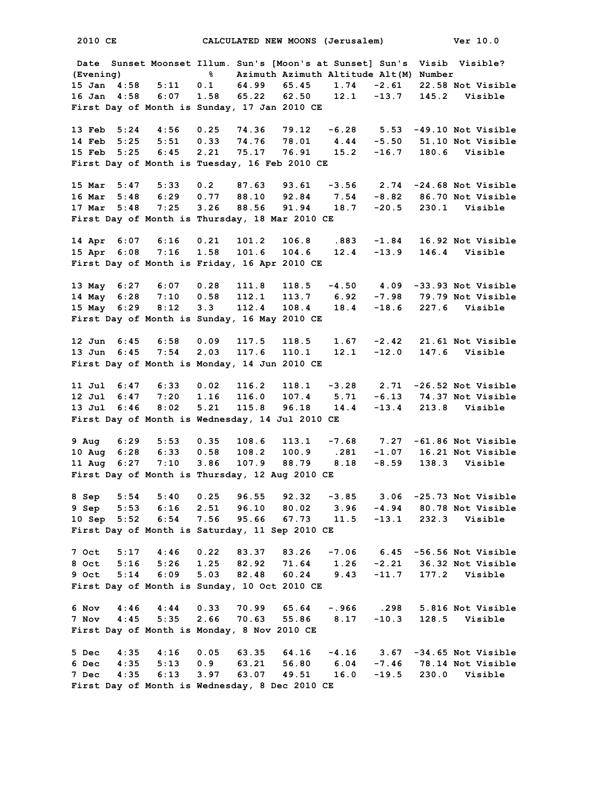**Date Sunset Moonset Illum. Sun's [Moon's at Sunset] Sun's Visib Visible? (Evening) % Azimuth Azimuth Altitude Alt(M) Number 15 Jan 4:58 5:11 0.1 64.99 65.45 1.74 -2.61 22.58 Not Visible 16 Jan 4:58 6:07 1.58 65.22 62.50 12.1 -13.7 145.2 Visible First Day of Month is Sunday, 17 Jan 2010 CE 13 Feb 5:24 4:56 0.25 74.36 79.12 -6.28 5.53 -49.10 Not Visible 14 Feb 5:25 5:51 0.33 74.76 78.01 4.44 -5.50 51.10 Not Visible 15 Feb 5:25 6:45 2.21 75.17 76.91 15.2 -16.7 180.6 Visible First Day of Month is Tuesday, 16 Feb 2010 CE 15 Mar 5:47 5:33 0.2 87.63 93.61 -3.56 2.74 -24.68 Not Visible 16 Mar 5:48 6:29 0.77 88.10 92.84 7.54 -8.82 86.70 Not Visible 17 Mar 5:48 7:25 3.26 88.56 91.94 18.7 -20.5 230.1 Visible First Day of Month is Thursday, 18 Mar 2010 CE 14 Apr 6:07 6:16 0.21 101.2 106.8 .883 -1.84 16.92 Not Visible 15 Apr 6:08 7:16 1.58 101.6 104.6 12.4 -13.9 146.4 Visible First Day of Month is Friday, 16 Apr 2010 CE 13 May 6:27 6:07 0.28 111.8 118.5 -4.50 4.09 -33.93 Not Visible 14 May 6:28 7:10 0.58 112.1 113.7 6.92 -7.98 79.79 Not Visible 15 May 6:29 8:12 3.3 112.4 108.4 18.4 -18.6 227.6 Visible First Day of Month is Sunday, 16 May 2010 CE 12 Jun 6:45 6:58 0.09 117.5 118.5 1.67 -2.42 21.61 Not Visible 13 Jun 6:45 7:54 2.03 117.6 110.1 12.1 -12.0 147.6 Visible First Day of Month is Monday, 14 Jun 2010 CE 11 Jul 6:47 6:33 0.02 116.2 118.1 -3.28 2.71 -26.52 Not Visible 12 Jul 6:47 7:20 1.16 116.0 107.4 5.71 -6.13 74.37 Not Visible 13 Jul 6:46 8:02 5.21 115.8 96.18 14.4 -13.4 213.8 Visible First Day of Month is Wednesday, 14 Jul 2010 CE 9 Aug 6:29 5:53 0.35 108.6 113.1 -7.68 7.27 -61.86 Not Visible 10 Aug 6:28 6:33 0.58 108.2 100.9 .281 -1.07 16.21 Not Visible 11 Aug 6:27 7:10 3.86 107.9 88.79 8.18 -8.59 138.3 Visible First Day of Month is Thursday, 12 Aug 2010 CE 8 Sep 5:54 5:40 0.25 96.55 92.32 -3.85 3.06 -25.73 Not Visible 9 Sep 5:53 6:16 2.51 96.10 80.02 3.96 -4.94 80.78 Not Visible 10 Sep 5:52 6:54 7.56 95.66 67.73 11.5 -13.1 232.3 Visible First Day of Month is Saturday, 11 Sep 2010 CE 7 Oct 5:17 4:46 0.22 83.37 83.26 -7.06 6.45 -56.56 Not Visible 8 Oct 5:16 5:26 1.25 82.92 71.64 1.26 -2.21 36.32 Not Visible 9 Oct 5:14 6:09 5.03 82.48 60.24 9.43 -11.7 177.2 Visible First Day of Month is Sunday, 10 Oct 2010 CE 6 Nov 4:46 4:44 0.33 70.99 65.64 -.966 .298 5.816 Not Visible 7 Nov 4:45 5:35 2.66 70.63 55.86 8.17 -10.3 128.5 Visible First Day of Month is Monday, 8 Nov 2010 CE 5 Dec 4:35 4:16 0.05 63.35 64.16 -4.16 3.67 -34.65 Not Visible 6 Dec 4:35 5:13 0.9 63.21 56.80 6.04 -7.46 78.14 Not Visible 7 Dec 4:35 6:13 3.97 63.07 49.51 16.0 -19.5 230.0 Visible First Day of Month is Wednesday, 8 Dec 2010 CE**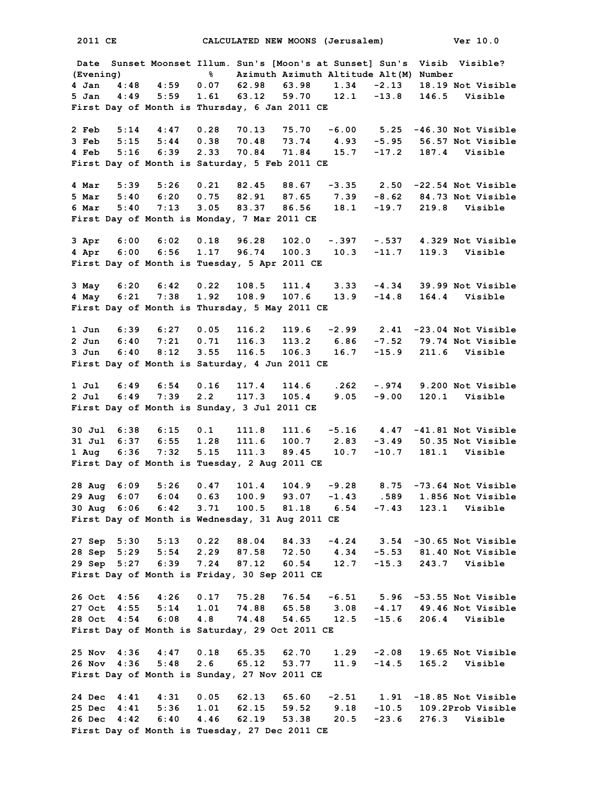**Date Sunset Moonset Illum. Sun's [Moon's at Sunset] Sun's Visib Visible? (Evening) % Azimuth Azimuth Altitude Alt(M) Number 4 Jan 4:48 4:59 0.07 62.98 63.98 1.34 -2.13 18.19 Not Visible 5 Jan 4:49 5:59 1.61 63.12 59.70 12.1 -13.8 146.5 Visible First Day of Month is Thursday, 6 Jan 2011 CE 2 Feb 5:14 4:47 0.28 70.13 75.70 -6.00 5.25 -46.30 Not Visible 3 Feb 5:15 5:44 0.38 70.48 73.74 4.93 -5.95 56.57 Not Visible 4 Feb 5:16 6:39 2.33 70.84 71.84 15.7 -17.2 187.4 Visible First Day of Month is Saturday, 5 Feb 2011 CE 4 Mar 5:39 5:26 0.21 82.45 88.67 -3.35 2.50 -22.54 Not Visible 5 Mar 5:40 6:20 0.75 82.91 87.65 7.39 -8.62 84.73 Not Visible 6 Mar 5:40 7:13 3.05 83.37 86.56 18.1 -19.7 219.8 Visible First Day of Month is Monday, 7 Mar 2011 CE 3 Apr 6:00 6:02 0.18 96.28 102.0 -.397 -.537 4.329 Not Visible 4 Apr 6:00 6:56 1.17 96.74 100.3 10.3 -11.7 119.3 Visible First Day of Month is Tuesday, 5 Apr 2011 CE 3 May 6:20 6:42 0.22 108.5 111.4 3.33 -4.34 39.99 Not Visible 4 May 6:21 7:38 1.92 108.9 107.6 13.9 -14.8 164.4 Visible First Day of Month is Thursday, 5 May 2011 CE 1 Jun 6:39 6:27 0.05 116.2 119.6 -2.99 2.41 -23.04 Not Visible 2 Jun 6:40 7:21 0.71 116.3 113.2 6.86 -7.52 79.74 Not Visible 3 Jun 6:40 8:12 3.55 116.5 106.3 16.7 -15.9 211.6 Visible First Day of Month is Saturday, 4 Jun 2011 CE 1 Jul 6:49 6:54 0.16 117.4 114.6 .262 -.974 9.200 Not Visible 2 Jul 6:49 7:39 2.2 117.3 105.4 9.05 -9.00 120.1 Visible First Day of Month is Sunday, 3 Jul 2011 CE 30 Jul 6:38 6:15 0.1 111.8 111.6 -5.16 4.47 -41.81 Not Visible 31 Jul 6:37 6:55 1.28 111.6 100.7 2.83 -3.49 50.35 Not Visible 1 Aug 6:36 7:32 5.15 111.3 89.45 10.7 -10.7 181.1 Visible First Day of Month is Tuesday, 2 Aug 2011 CE 28 Aug 6:09 5:26 0.47 101.4 104.9 -9.28 8.75 -73.64 Not Visible 29 Aug 6:07 6:04 0.63 100.9 93.07 -1.43 .589 1.856 Not Visible 30 Aug 6:06 6:42 3.71 100.5 81.18 6.54 -7.43 123.1 Visible First Day of Month is Wednesday, 31 Aug 2011 CE 27 Sep 5:30 5:13 0.22 88.04 84.33 -4.24 3.54 -30.65 Not Visible 28 Sep 5:29 5:54 2.29 87.58 72.50 4.34 -5.53 81.40 Not Visible 29 Sep 5:27 6:39 7.24 87.12 60.54 12.7 -15.3 243.7 Visible First Day of Month is Friday, 30 Sep 2011 CE 26 Oct 4:56 4:26 0.17 75.28 76.54 -6.51 5.96 -53.55 Not Visible 27 Oct 4:55 5:14 1.01 74.88 65.58 3.08 -4.17 49.46 Not Visible 28 Oct 4:54 6:08 4.8 74.48 54.65 12.5 -15.6 206.4 Visible First Day of Month is Saturday, 29 Oct 2011 CE 25 Nov 4:36 4:47 0.18 65.35 62.70 1.29 -2.08 19.65 Not Visible 26 Nov 4:36 5:48 2.6 65.12 53.77 11.9 -14.5 165.2 Visible First Day of Month is Sunday, 27 Nov 2011 CE 24 Dec 4:41 4:31 0.05 62.13 65.60 -2.51 1.91 -18.85 Not Visible 25 Dec 4:41 5:36 1.01 62.15 59.52 9.18 -10.5 109.2Prob Visible 26 Dec 4:42 6:40 4.46 62.19 53.38 20.5 -23.6 276.3 Visible First Day of Month is Tuesday, 27 Dec 2011 CE**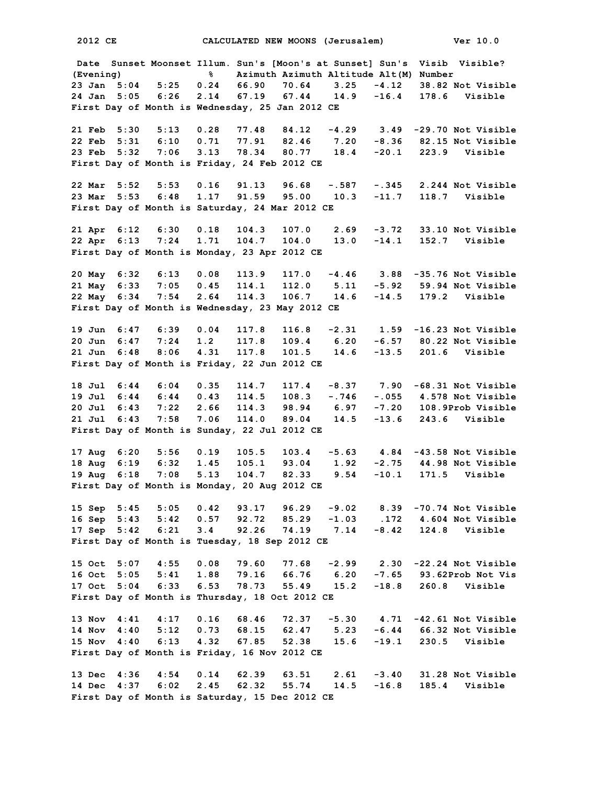**Date Sunset Moonset Illum. Sun's [Moon's at Sunset] Sun's Visib Visible? (Evening) % Azimuth Azimuth Altitude Alt(M) Number 23 Jan 5:04 5:25 0.24 66.90 70.64 3.25 -4.12 38.82 Not Visible 24 Jan 5:05 6:26 2.14 67.19 67.44 14.9 -16.4 178.6 Visible First Day of Month is Wednesday, 25 Jan 2012 CE 21 Feb 5:30 5:13 0.28 77.48 84.12 -4.29 3.49 -29.70 Not Visible 22 Feb 5:31 6:10 0.71 77.91 82.46 7.20 -8.36 82.15 Not Visible 23 Feb 5:32 7:06 3.13 78.34 80.77 18.4 -20.1 223.9 Visible First Day of Month is Friday, 24 Feb 2012 CE 22 Mar 5:52 5:53 0.16 91.13 96.68 -.587 -.345 2.244 Not Visible 23 Mar 5:53 6:48 1.17 91.59 95.00 10.3 -11.7 118.7 Visible First Day of Month is Saturday, 24 Mar 2012 CE 21 Apr 6:12 6:30 0.18 104.3 107.0 2.69 -3.72 33.10 Not Visible 22 Apr 6:13 7:24 1.71 104.7 104.0 13.0 -14.1 152.7 Visible First Day of Month is Monday, 23 Apr 2012 CE 20 May 6:32 6:13 0.08 113.9 117.0 -4.46 3.88 -35.76 Not Visible 21 May 6:33 7:05 0.45 114.1 112.0 5.11 -5.92 59.94 Not Visible 22 May 6:34 7:54 2.64 114.3 106.7 14.6 -14.5 179.2 Visible First Day of Month is Wednesday, 23 May 2012 CE 19 Jun 6:47 6:39 0.04 117.8 116.8 -2.31 1.59 -16.23 Not Visible 20 Jun 6:47 7:24 1.2 117.8 109.4 6.20 -6.57 80.22 Not Visible 21 Jun 6:48 8:06 4.31 117.8 101.5 14.6 -13.5 201.6 Visible First Day of Month is Friday, 22 Jun 2012 CE 18 Jul 6:44 6:04 0.35 114.7 117.4 -8.37 7.90 -68.31 Not Visible 19 Jul 6:44 6:44 0.43 114.5 108.3 -.746 -.055 4.578 Not Visible 20 Jul 6:43 7:22 2.66 114.3 98.94 6.97 -7.20 108.9Prob Visible 21 Jul 6:43 7:58 7.06 114.0 89.04 14.5 -13.6 243.6 Visible First Day of Month is Sunday, 22 Jul 2012 CE 17 Aug 6:20 5:56 0.19 105.5 103.4 -5.63 4.84 -43.58 Not Visible 18 Aug 6:19 6:32 1.45 105.1 93.04 1.92 -2.75 44.98 Not Visible 19 Aug 6:18 7:08 5.13 104.7 82.33 9.54 -10.1 171.5 Visible First Day of Month is Monday, 20 Aug 2012 CE 15 Sep 5:45 5:05 0.42 93.17 96.29 -9.02 8.39 -70.74 Not Visible 16 Sep 5:43 5:42 0.57 92.72 85.29 -1.03 .172 4.604 Not Visible 17 Sep 5:42 6:21 3.4 92.26 74.19 7.14 -8.42 124.8 Visible First Day of Month is Tuesday, 18 Sep 2012 CE 15 Oct 5:07 4:55 0.08 79.60 77.68 -2.99 2.30 -22.24 Not Visible 16 Oct 5:05 5:41 1.88 79.16 66.76 6.20 -7.65 93.62Prob Not Vis 17 Oct 5:04 6:33 6.53 78.73 55.49 15.2 -18.8 260.8 Visible First Day of Month is Thursday, 18 Oct 2012 CE 13 Nov 4:41 4:17 0.16 68.46 72.37 -5.30 4.71 -42.61 Not Visible 14 Nov 4:40 5:12 0.73 68.15 62.47 5.23 -6.44 66.32 Not Visible 15 Nov 4:40 6:13 4.32 67.85 52.38 15.6 -19.1 230.5 Visible First Day of Month is Friday, 16 Nov 2012 CE 13 Dec 4:36 4:54 0.14 62.39 63.51 2.61 -3.40 31.28 Not Visible 14 Dec 4:37 6:02 2.45 62.32 55.74 14.5 -16.8 185.4 Visible First Day of Month is Saturday, 15 Dec 2012 CE**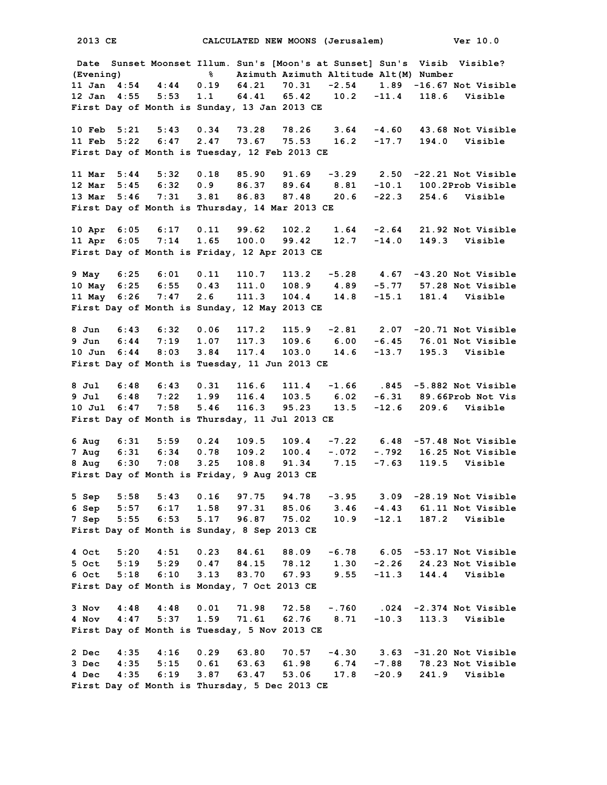**Date Sunset Moonset Illum. Sun's [Moon's at Sunset] Sun's Visib Visible? (Evening) % Azimuth Azimuth Altitude Alt(M) Number 11 Jan 4:54 4:44 0.19 64.21 70.31 -2.54 1.89 -16.67 Not Visible 12 Jan 4:55 5:53 1.1 64.41 65.42 10.2 -11.4 118.6 Visible First Day of Month is Sunday, 13 Jan 2013 CE 10 Feb 5:21 5:43 0.34 73.28 78.26 3.64 -4.60 43.68 Not Visible 11 Feb 5:22 6:47 2.47 73.67 75.53 16.2 -17.7 194.0 Visible First Day of Month is Tuesday, 12 Feb 2013 CE 11 Mar 5:44 5:32 0.18 85.90 91.69 -3.29 2.50 -22.21 Not Visible 12 Mar 5:45 6:32 0.9 86.37 89.64 8.81 -10.1 100.2Prob Visible 13 Mar 5:46 7:31 3.81 86.83 87.48 20.6 -22.3 254.6 Visible First Day of Month is Thursday, 14 Mar 2013 CE 10 Apr 6:05 6:17 0.11 99.62 102.2 1.64 -2.64 21.92 Not Visible 11 Apr 6:05 7:14 1.65 100.0 99.42 12.7 -14.0 149.3 Visible First Day of Month is Friday, 12 Apr 2013 CE 9 May 6:25 6:01 0.11 110.7 113.2 -5.28 4.67 -43.20 Not Visible 10 May 6:25 6:55 0.43 111.0 108.9 4.89 -5.77 57.28 Not Visible 11 May 6:26 7:47 2.6 111.3 104.4 14.8 -15.1 181.4 Visible First Day of Month is Sunday, 12 May 2013 CE 8 Jun 6:43 6:32 0.06 117.2 115.9 -2.81 2.07 -20.71 Not Visible 9 Jun 6:44 7:19 1.07 117.3 109.6 6.00 -6.45 76.01 Not Visible 10 Jun 6:44 8:03 3.84 117.4 103.0 14.6 -13.7 195.3 Visible First Day of Month is Tuesday, 11 Jun 2013 CE 8 Jul 6:48 6:43 0.31 116.6 111.4 -1.66 .845 -5.882 Not Visible 9 Jul 6:48 7:22 1.99 116.4 103.5 6.02 -6.31 89.66Prob Not Vis 10 Jul 6:47 7:58 5.46 116.3 95.23 13.5 -12.6 209.6 Visible First Day of Month is Thursday, 11 Jul 2013 CE 6 Aug 6:31 5:59 0.24 109.5 109.4 -7.22 6.48 -57.48 Not Visible 7 Aug 6:31 6:34 0.78 109.2 100.4 -.072 -.792 16.25 Not Visible 8 Aug 6:30 7:08 3.25 108.8 91.34 7.15 -7.63 119.5 Visible First Day of Month is Friday, 9 Aug 2013 CE 5 Sep 5:58 5:43 0.16 97.75 94.78 -3.95 3.09 -28.19 Not Visible 6 Sep 5:57 6:17 1.58 97.31 85.06 3.46 -4.43 61.11 Not Visible 7 Sep 5:55 6:53 5.17 96.87 75.02 10.9 -12.1 187.2 Visible First Day of Month is Sunday, 8 Sep 2013 CE 4 Oct 5:20 4:51 0.23 84.61 88.09 -6.78 6.05 -53.17 Not Visible 5 Oct 5:19 5:29 0.47 84.15 78.12 1.30 -2.26 24.23 Not Visible 6 Oct 5:18 6:10 3.13 83.70 67.93 9.55 -11.3 144.4 Visible First Day of Month is Monday, 7 Oct 2013 CE 3 Nov 4:48 4:48 0.01 71.98 72.58 -.760 .024 -2.374 Not Visible 4 Nov 4:47 5:37 1.59 71.61 62.76 8.71 -10.3 113.3 Visible First Day of Month is Tuesday, 5 Nov 2013 CE 2 Dec 4:35 4:16 0.29 63.80 70.57 -4.30 3.63 -31.20 Not Visible 3 Dec 4:35 5:15 0.61 63.63 61.98 6.74 -7.88 78.23 Not Visible 4 Dec 4:35 6:19 3.87 63.47 53.06 17.8 -20.9 241.9 Visible First Day of Month is Thursday, 5 Dec 2013 CE**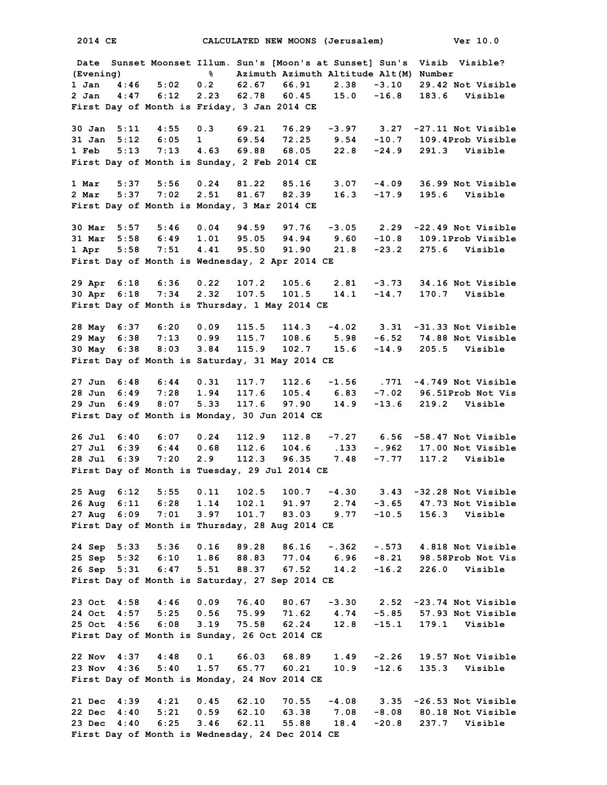**2014 CE CALCULATED NEW MOONS (Jerusalem) Ver 10.0 Date Sunset Moonset Illum. Sun's [Moon's at Sunset] Sun's Visib Visible? (Evening) % Azimuth Azimuth Altitude Alt(M) Number 1 Jan 4:46 5:02 0.2 62.67 66.91 2.38 -3.10 29.42 Not Visible 2 Jan 4:47 6:12 2.23 62.78 60.45 15.0 -16.8 183.6 Visible First Day of Month is Friday, 3 Jan 2014 CE 30 Jan 5:11 4:55 0.3 69.21 76.29 -3.97 3.27 -27.11 Not Visible 31 Jan 5:12 6:05 1 69.54 72.25 9.54 -10.7 109.4Prob Visible 1 Feb 5:13 7:13 4.63 69.88 68.05 22.8 -24.9 291.3 Visible First Day of Month is Sunday, 2 Feb 2014 CE 1 Mar 5:37 5:56 0.24 81.22 85.16 3.07 -4.09 36.99 Not Visible 2 Mar 5:37 7:02 2.51 81.67 82.39 16.3 -17.9 195.6 Visible First Day of Month is Monday, 3 Mar 2014 CE 30 Mar 5:57 5:46 0.04 94.59 97.76 -3.05 2.29 -22.49 Not Visible 31 Mar 5:58 6:49 1.01 95.05 94.94 9.60 -10.8 109.1Prob Visible 1 Apr 5:58 7:51 4.41 95.50 91.90 21.8 -23.2 275.6 Visible First Day of Month is Wednesday, 2 Apr 2014 CE 29 Apr 6:18 6:36 0.22 107.2 105.6 2.81 -3.73 34.16 Not Visible 30 Apr 6:18 7:34 2.32 107.5 101.5 14.1 -14.7 170.7 Visible First Day of Month is Thursday, 1 May 2014 CE 28 May 6:37 6:20 0.09 115.5 114.3 -4.02 3.31 -31.33 Not Visible 29 May 6:38 7:13 0.99 115.7 108.6 5.98 -6.52 74.88 Not Visible 30 May 6:38 8:03 3.84 115.9 102.7 15.6 -14.9 205.5 Visible First Day of Month is Saturday, 31 May 2014 CE 27 Jun 6:48 6:44 0.31 117.7 112.6 -1.56 .771 -4.749 Not Visible 28 Jun 6:49 7:28 1.94 117.6 105.4 6.83 -7.02 96.51Prob Not Vis 29 Jun 6:49 8:07 5.33 117.6 97.90 14.9 -13.6 219.2 Visible First Day of Month is Monday, 30 Jun 2014 CE 26 Jul 6:40 6:07 0.24 112.9 112.8 -7.27 6.56 -58.47 Not Visible 27 Jul 6:39 6:44 0.68 112.6 104.6 .133 -.962 17.00 Not Visible 28 Jul 6:39 7:20 2.9 112.3 96.35 7.48 -7.77 117.2 Visible First Day of Month is Tuesday, 29 Jul 2014 CE 25 Aug 6:12 5:55 0.11 102.5 100.7 -4.30 3.43 -32.28 Not Visible 26 Aug 6:11 6:28 1.14 102.1 91.97 2.74 -3.65 47.73 Not Visible 27 Aug 6:09 7:01 3.97 101.7 83.03 9.77 -10.5 156.3 Visible First Day of Month is Thursday, 28 Aug 2014 CE 24 Sep 5:33 5:36 0.16 89.28 86.16 -.362 -.573 4.818 Not Visible 25 Sep 5:32 6:10 1.86 88.83 77.04 6.96 -8.21 98.58Prob Not Vis 26 Sep 5:31 6:47 5.51 88.37 67.52 14.2 -16.2 226.0 Visible First Day of Month is Saturday, 27 Sep 2014 CE 23 Oct 4:58 4:46 0.09 76.40 80.67 -3.30 2.52 -23.74 Not Visible 24 Oct 4:57 5:25 0.56 75.99 71.62 4.74 -5.85 57.93 Not Visible 25 Oct 4:56 6:08 3.19 75.58 62.24 12.8 -15.1 179.1 Visible First Day of Month is Sunday, 26 Oct 2014 CE 22 Nov 4:37 4:48 0.1 66.03 68.89 1.49 -2.26 19.57 Not Visible 23 Nov 4:36 5:40 1.57 65.77 60.21 10.9 -12.6 135.3 Visible First Day of Month is Monday, 24 Nov 2014 CE 21 Dec 4:39 4:21 0.45 62.10 70.55 -4.08 3.35 -26.53 Not Visible 22 Dec 4:40 5:21 0.59 62.10 63.38 7.08 -8.08 80.18 Not Visible 23 Dec 4:40 6:25 3.46 62.11 55.88 18.4 -20.8 237.7 Visible First Day of Month is Wednesday, 24 Dec 2014 CE**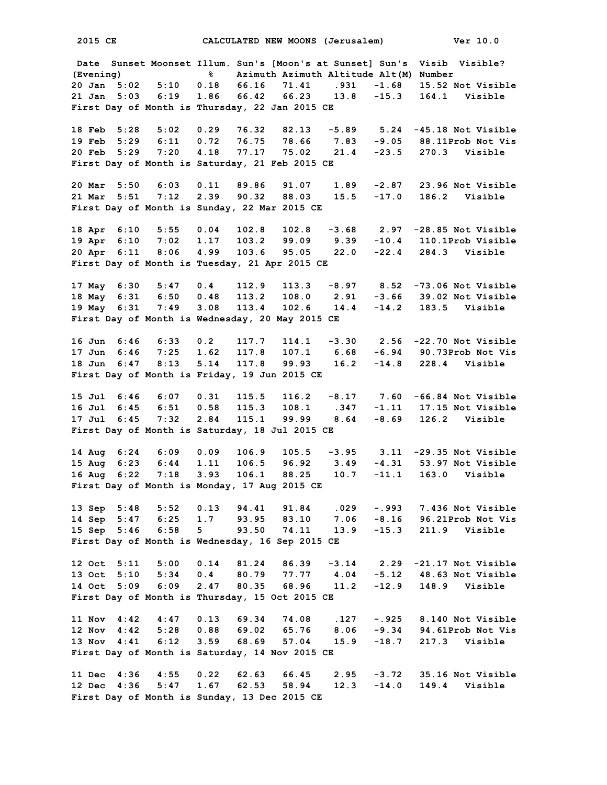**2015 CE CALCULATED NEW MOONS (Jerusalem) Ver 10.0 Date Sunset Moonset Illum. Sun's [Moon's at Sunset] Sun's Visib Visible? (Evening) % Azimuth Azimuth Altitude Alt(M) Number 20 Jan 5:02 5:10 0.18 66.16 71.41 .931 -1.68 15.52 Not Visible 21 Jan 5:03 6:19 1.86 66.42 66.23 13.8 -15.3 164.1 Visible First Day of Month is Thursday, 22 Jan 2015 CE 18 Feb 5:28 5:02 0.29 76.32 82.13 -5.89 5.24 -45.18 Not Visible 19 Feb 5:29 6:11 0.72 76.75 78.66 7.83 -9.05 88.11Prob Not Vis 20 Feb 5:29 7:20 4.18 77.17 75.02 21.4 -23.5 270.3 Visible First Day of Month is Saturday, 21 Feb 2015 CE 20 Mar 5:50 6:03 0.11 89.86 91.07 1.89 -2.87 23.96 Not Visible 21 Mar 5:51 7:12 2.39 90.32 88.03 15.5 -17.0 186.2 Visible First Day of Month is Sunday, 22 Mar 2015 CE 18 Apr 6:10 5:55 0.04 102.8 102.8 -3.68 2.97 -28.85 Not Visible 19 Apr 6:10 7:02 1.17 103.2 99.09 9.39 -10.4 110.1Prob Visible 20 Apr 6:11 8:06 4.99 103.6 95.05 22.0 -22.4 284.3 Visible First Day of Month is Tuesday, 21 Apr 2015 CE 17 May 6:30 5:47 0.4 112.9 113.3 -8.97 8.52 -73.06 Not Visible 18 May 6:31 6:50 0.48 113.2 108.0 2.91 -3.66 39.02 Not Visible 19 May 6:31 7:49 3.08 113.4 102.6 14.4 -14.2 183.5 Visible First Day of Month is Wednesday, 20 May 2015 CE 16 Jun 6:46 6:33 0.2 117.7 114.1 -3.30 2.56 -22.70 Not Visible 17 Jun 6:46 7:25 1.62 117.8 107.1 6.68 -6.94 90.73Prob Not Vis 18 Jun 6:47 8:13 5.14 117.8 99.93 16.2 -14.8 228.4 Visible First Day of Month is Friday, 19 Jun 2015 CE 15 Jul 6:46 6:07 0.31 115.5 116.2 -8.17 7.60 -66.84 Not Visible 16 Jul 6:45 6:51 0.58 115.3 108.1 .347 -1.11 17.15 Not Visible 17 Jul 6:45 7:32 2.84 115.1 99.99 8.64 -8.69 126.2 Visible First Day of Month is Saturday, 18 Jul 2015 CE 14 Aug 6:24 6:09 0.09 106.9 105.5 -3.95 3.11 -29.35 Not Visible 15 Aug 6:23 6:44 1.11 106.5 96.92 3.49 -4.31 53.97 Not Visible 16 Aug 6:22 7:18 3.93 106.1 88.25 10.7 -11.1 163.0 Visible First Day of Month is Monday, 17 Aug 2015 CE 13 Sep 5:48 5:52 0.13 94.41 91.84 .029 -.993 7.436 Not Visible 14 Sep 5:47 6:25 1.7 93.95 83.10 7.06 -8.16 96.21Prob Not Vis 15 Sep 5:46 6:58 5 93.50 74.11 13.9 -15.3 211.9 Visible First Day of Month is Wednesday, 16 Sep 2015 CE 12 Oct 5:11 5:00 0.14 81.24 86.39 -3.14 2.29 -21.17 Not Visible 13 Oct 5:10 5:34 0.4 80.79 77.77 4.04 -5.12 48.63 Not Visible 14 Oct 5:09 6:09 2.47 80.35 68.96 11.2 -12.9 148.9 Visible First Day of Month is Thursday, 15 Oct 2015 CE 11 Nov 4:42 4:47 0.13 69.34 74.08 .127 -.925 8.140 Not Visible 12 Nov 4:42 5:28 0.88 69.02 65.76 8.06 -9.34 94.61Prob Not Vis 13 Nov 4:41 6:12 3.59 68.69 57.04 15.9 -18.7 217.3 Visible First Day of Month is Saturday, 14 Nov 2015 CE 11 Dec 4:36 4:55 0.22 62.63 66.45 2.95 -3.72 35.16 Not Visible 12 Dec 4:36 5:47 1.67 62.53 58.94 12.3 -14.0 149.4 Visible First Day of Month is Sunday, 13 Dec 2015 CE**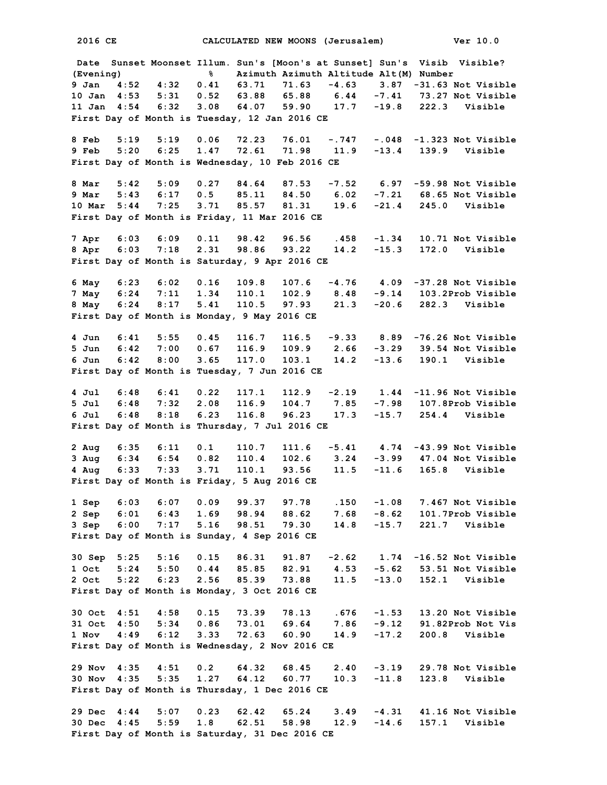**2016 CE CALCULATED NEW MOONS (Jerusalem) Ver 10.0 Date Sunset Moonset Illum. Sun's [Moon's at Sunset] Sun's Visib Visible? (Evening) % Azimuth Azimuth Altitude Alt(M) Number 9 Jan 4:52 4:32 0.41 63.71 71.63 -4.63 3.87 -31.63 Not Visible 10 Jan 4:53 5:31 0.52 63.88 65.88 6.44 -7.41 73.27 Not Visible 11 Jan 4:54 6:32 3.08 64.07 59.90 17.7 -19.8 222.3 Visible First Day of Month is Tuesday, 12 Jan 2016 CE 8 Feb 5:19 5:19 0.06 72.23 76.01 -.747 -.048 -1.323 Not Visible 9 Feb 5:20 6:25 1.47 72.61 71.98 11.9 -13.4 139.9 Visible First Day of Month is Wednesday, 10 Feb 2016 CE 8 Mar 5:42 5:09 0.27 84.64 87.53 -7.52 6.97 -59.98 Not Visible 9 Mar 5:43 6:17 0.5 85.11 84.50 6.02 -7.21 68.65 Not Visible 10 Mar 5:44 7:25 3.71 85.57 81.31 19.6 -21.4 245.0 Visible First Day of Month is Friday, 11 Mar 2016 CE 7 Apr 6:03 6:09 0.11 98.42 96.56 .458 -1.34 10.71 Not Visible 8 Apr 6:03 7:18 2.31 98.86 93.22 14.2 -15.3 172.0 Visible First Day of Month is Saturday, 9 Apr 2016 CE 6 May 6:23 6:02 0.16 109.8 107.6 -4.76 4.09 -37.28 Not Visible 7 May 6:24 7:11 1.34 110.1 102.9 8.48 -9.14 103.2Prob Visible 8 May 6:24 8:17 5.41 110.5 97.93 21.3 -20.6 282.3 Visible First Day of Month is Monday, 9 May 2016 CE 4 Jun 6:41 5:55 0.45 116.7 116.5 -9.33 8.89 -76.26 Not Visible 5 Jun 6:42 7:00 0.67 116.9 109.9 2.66 -3.29 39.54 Not Visible 6 Jun 6:42 8:00 3.65 117.0 103.1 14.2 -13.6 190.1 Visible First Day of Month is Tuesday, 7 Jun 2016 CE 4 Jul 6:48 6:41 0.22 117.1 112.9 -2.19 1.44 -11.96 Not Visible 5 Jul 6:48 7:32 2.08 116.9 104.7 7.85 -7.98 107.8Prob Visible 6 Jul 6:48 8:18 6.23 116.8 96.23 17.3 -15.7 254.4 Visible First Day of Month is Thursday, 7 Jul 2016 CE 2 Aug 6:35 6:11 0.1 110.7 111.6 -5.41 4.74 -43.99 Not Visible 3 Aug 6:34 6:54 0.82 110.4 102.6 3.24 -3.99 47.04 Not Visible 4 Aug 6:33 7:33 3.71 110.1 93.56 11.5 -11.6 165.8 Visible First Day of Month is Friday, 5 Aug 2016 CE 1 Sep 6:03 6:07 0.09 99.37 97.78 .150 -1.08 7.467 Not Visible 2 Sep 6:01 6:43 1.69 98.94 88.62 7.68 -8.62 101.7Prob Visible 3 Sep 6:00 7:17 5.16 98.51 79.30 14.8 -15.7 221.7 Visible First Day of Month is Sunday, 4 Sep 2016 CE 30 Sep 5:25 5:16 0.15 86.31 91.87 -2.62 1.74 -16.52 Not Visible 1 Oct 5:24 5:50 0.44 85.85 82.91 4.53 -5.62 53.51 Not Visible 2 Oct 5:22 6:23 2.56 85.39 73.88 11.5 -13.0 152.1 Visible First Day of Month is Monday, 3 Oct 2016 CE 30 Oct 4:51 4:58 0.15 73.39 78.13 .676 -1.53 13.20 Not Visible 31 Oct 4:50 5:34 0.86 73.01 69.64 7.86 -9.12 91.82Prob Not Vis 1 Nov 4:49 6:12 3.33 72.63 60.90 14.9 -17.2 200.8 Visible First Day of Month is Wednesday, 2 Nov 2016 CE 29 Nov 4:35 4:51 0.2 64.32 68.45 2.40 -3.19 29.78 Not Visible 30 Nov 4:35 5:35 1.27 64.12 60.77 10.3 -11.8 123.8 Visible First Day of Month is Thursday, 1 Dec 2016 CE 29 Dec 4:44 5:07 0.23 62.42 65.24 3.49 -4.31 41.16 Not Visible 30 Dec 4:45 5:59 1.8 62.51 58.98 12.9 -14.6 157.1 Visible First Day of Month is Saturday, 31 Dec 2016 CE**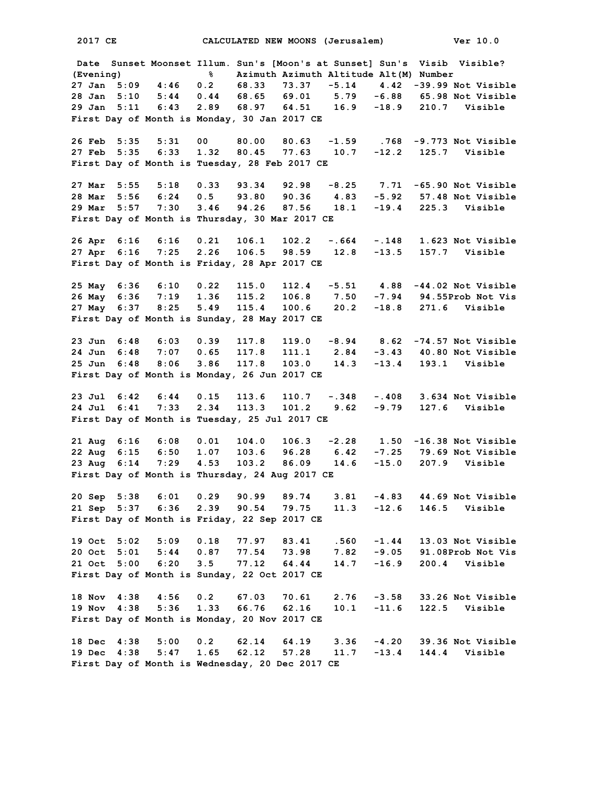**2017 CE CALCULATED NEW MOONS (Jerusalem) Ver 10.0 Date Sunset Moonset Illum. Sun's [Moon's at Sunset] Sun's Visib Visible? (Evening) % Azimuth Azimuth Altitude Alt(M) Number 27 Jan 5:09 4:46 0.2 68.33 73.37 -5.14 4.42 -39.99 Not Visible 28 Jan 5:10 5:44 0.44 68.65 69.01 5.79 -6.88 65.98 Not Visible 29 Jan 5:11 6:43 2.89 68.97 64.51 16.9 -18.9 210.7 Visible First Day of Month is Monday, 30 Jan 2017 CE 26 Feb 5:35 5:31 00 80.00 80.63 -1.59 .768 -9.773 Not Visible 27 Feb 5:35 6:33 1.32 80.45 77.63 10.7 -12.2 125.7 Visible First Day of Month is Tuesday, 28 Feb 2017 CE 27 Mar 5:55 5:18 0.33 93.34 92.98 -8.25 7.71 -65.90 Not Visible 28 Mar 5:56 6:24 0.5 93.80 90.36 4.83 -5.92 57.48 Not Visible 29 Mar 5:57 7:30 3.46 94.26 87.56 18.1 -19.4 225.3 Visible First Day of Month is Thursday, 30 Mar 2017 CE 26 Apr 6:16 6:16 0.21 106.1 102.2 -.664 -.148 1.623 Not Visible 27 Apr 6:16 7:25 2.26 106.5 98.59 12.8 -13.5 157.7 Visible First Day of Month is Friday, 28 Apr 2017 CE 25 May 6:36 6:10 0.22 115.0 112.4 -5.51 4.88 -44.02 Not Visible 26 May 6:36 7:19 1.36 115.2 106.8 7.50 -7.94 94.55Prob Not Vis 27 May 6:37 8:25 5.49 115.4 100.6 20.2 -18.8 271.6 Visible First Day of Month is Sunday, 28 May 2017 CE 23 Jun 6:48 6:03 0.39 117.8 119.0 -8.94 8.62 -74.57 Not Visible 24 Jun 6:48 7:07 0.65 117.8 111.1 2.84 -3.43 40.80 Not Visible 25 Jun 6:48 8:06 3.86 117.8 103.0 14.3 -13.4 193.1 Visible First Day of Month is Monday, 26 Jun 2017 CE 23 Jul 6:42 6:44 0.15 113.6 110.7 -.348 -.408 3.634 Not Visible 24 Jul 6:41 7:33 2.34 113.3 101.2 9.62 -9.79 127.6 Visible First Day of Month is Tuesday, 25 Jul 2017 CE 21 Aug 6:16 6:08 0.01 104.0 106.3 -2.28 1.50 -16.38 Not Visible 22 Aug 6:15 6:50 1.07 103.6 96.28 6.42 -7.25 79.69 Not Visible 23 Aug 6:14 7:29 4.53 103.2 86.09 14.6 -15.0 207.9 Visible First Day of Month is Thursday, 24 Aug 2017 CE 20 Sep 5:38 6:01 0.29 90.99 89.74 3.81 -4.83 44.69 Not Visible 21 Sep 5:37 6:36 2.39 90.54 79.75 11.3 -12.6 146.5 Visible First Day of Month is Friday, 22 Sep 2017 CE 19 Oct 5:02 5:09 0.18 77.97 83.41 .560 -1.44 13.03 Not Visible 20 Oct 5:01 5:44 0.87 77.54 73.98 7.82 -9.05 91.08Prob Not Vis 21 Oct 5:00 6:20 3.5 77.12 64.44 14.7 -16.9 200.4 Visible First Day of Month is Sunday, 22 Oct 2017 CE 18 Nov 4:38 4:56 0.2 67.03 70.61 2.76 -3.58 33.26 Not Visible 19 Nov 4:38 5:36 1.33 66.76 62.16 10.1 -11.6 122.5 Visible First Day of Month is Monday, 20 Nov 2017 CE 18 Dec 4:38 5:00 0.2 62.14 64.19 3.36 -4.20 39.36 Not Visible 19 Dec 4:38 5:47 1.65 62.12 57.28 11.7 -13.4 144.4 Visible First Day of Month is Wednesday, 20 Dec 2017 CE**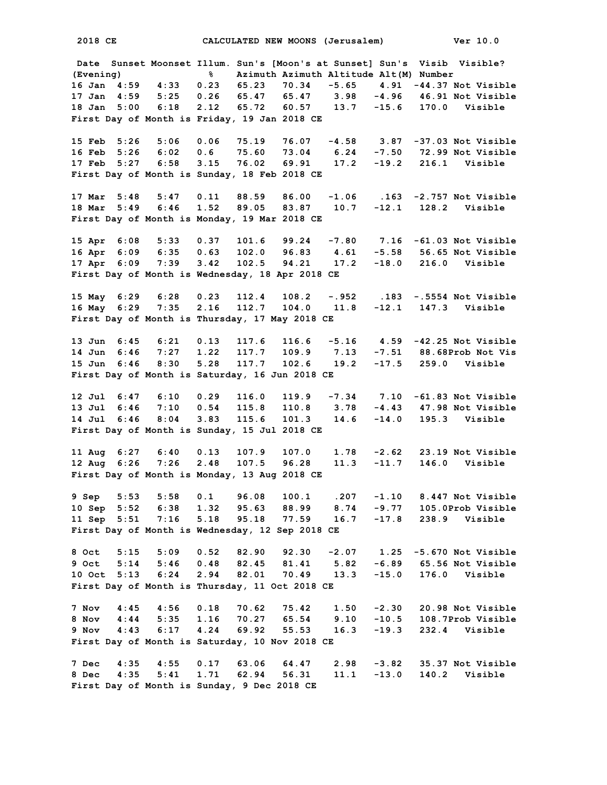**Date Sunset Moonset Illum. Sun's [Moon's at Sunset] Sun's Visib Visible? (Evening) % Azimuth Azimuth Altitude Alt(M) Number 16 Jan 4:59 4:33 0.23 65.23 70.34 -5.65 4.91 -44.37 Not Visible 17 Jan 4:59 5:25 0.26 65.47 65.47 3.98 -4.96 46.91 Not Visible 18 Jan 5:00 6:18 2.12 65.72 60.57 13.7 -15.6 170.0 Visible First Day of Month is Friday, 19 Jan 2018 CE 15 Feb 5:26 5:06 0.06 75.19 76.07 -4.58 3.87 -37.03 Not Visible 16 Feb 5:26 6:02 0.6 75.60 73.04 6.24 -7.50 72.99 Not Visible 17 Feb 5:27 6:58 3.15 76.02 69.91 17.2 -19.2 216.1 Visible First Day of Month is Sunday, 18 Feb 2018 CE 17 Mar 5:48 5:47 0.11 88.59 86.00 -1.06 .163 -2.757 Not Visible 18 Mar 5:49 6:46 1.52 89.05 83.87 10.7 -12.1 128.2 Visible First Day of Month is Monday, 19 Mar 2018 CE 15 Apr 6:08 5:33 0.37 101.6 99.24 -7.80 7.16 -61.03 Not Visible 16 Apr 6:09 6:35 0.63 102.0 96.83 4.61 -5.58 56.65 Not Visible 17 Apr 6:09 7:39 3.42 102.5 94.21 17.2 -18.0 216.0 Visible First Day of Month is Wednesday, 18 Apr 2018 CE 15 May 6:29 6:28 0.23 112.4 108.2 -.952 .183 -.5554 Not Visible 16 May 6:29 7:35 2.16 112.7 104.0 11.8 -12.1 147.3 Visible First Day of Month is Thursday, 17 May 2018 CE 13 Jun 6:45 6:21 0.13 117.6 116.6 -5.16 4.59 -42.25 Not Visible 14 Jun 6:46 7:27 1.22 117.7 109.9 7.13 -7.51 88.68Prob Not Vis 15 Jun 6:46 8:30 5.28 117.7 102.6 19.2 -17.5 259.0 Visible First Day of Month is Saturday, 16 Jun 2018 CE 12 Jul 6:47 6:10 0.29 116.0 119.9 -7.34 7.10 -61.83 Not Visible 13 Jul 6:46 7:10 0.54 115.8 110.8 3.78 -4.43 47.98 Not Visible 14 Jul 6:46 8:04 3.83 115.6 101.3 14.6 -14.0 195.3 Visible First Day of Month is Sunday, 15 Jul 2018 CE 11 Aug 6:27 6:40 0.13 107.9 107.0 1.78 -2.62 23.19 Not Visible 12 Aug 6:26 7:26 2.48 107.5 96.28 11.3 -11.7 146.0 Visible First Day of Month is Monday, 13 Aug 2018 CE 9 Sep 5:53 5:58 0.1 96.08 100.1 .207 -1.10 8.447 Not Visible 10 Sep 5:52 6:38 1.32 95.63 88.99 8.74 -9.77 105.0Prob Visible 11 Sep 5:51 7:16 5.18 95.18 77.59 16.7 -17.8 238.9 Visible First Day of Month is Wednesday, 12 Sep 2018 CE 8 Oct 5:15 5:09 0.52 82.90 92.30 -2.07 1.25 -5.670 Not Visible 9 Oct 5:14 5:46 0.48 82.45 81.41 5.82 -6.89 65.56 Not Visible 10 Oct 5:13 6:24 2.94 82.01 70.49 13.3 -15.0 176.0 Visible First Day of Month is Thursday, 11 Oct 2018 CE 7 Nov 4:45 4:56 0.18 70.62 75.42 1.50 -2.30 20.98 Not Visible 8 Nov 4:44 5:35 1.16 70.27 65.54 9.10 -10.5 108.7Prob Visible 9 Nov 4:43 6:17 4.24 69.92 55.53 16.3 -19.3 232.4 Visible First Day of Month is Saturday, 10 Nov 2018 CE 7 Dec 4:35 4:55 0.17 63.06 64.47 2.98 -3.82 35.37 Not Visible 8 Dec 4:35 5:41 1.71 62.94 56.31 11.1 -13.0 140.2 Visible First Day of Month is Sunday, 9 Dec 2018 CE**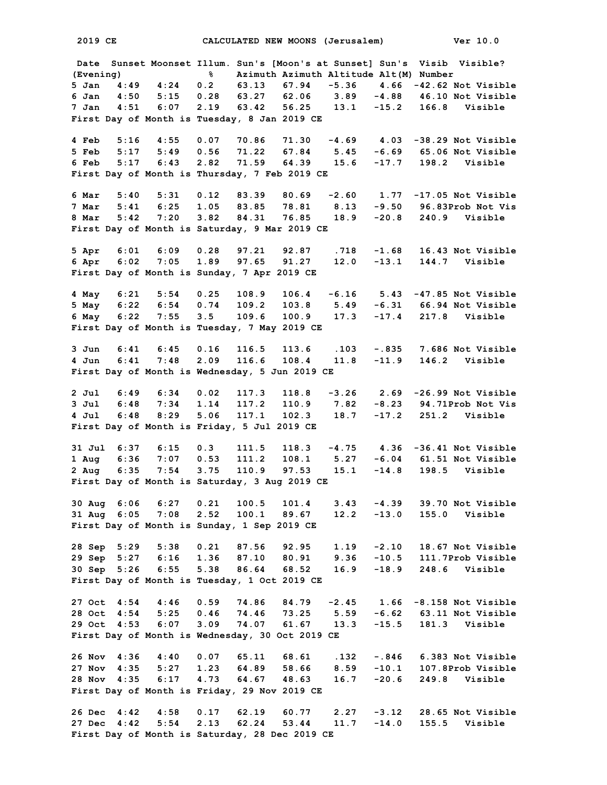**2019 CE CALCULATED NEW MOONS (Jerusalem) Ver 10.0 Date Sunset Moonset Illum. Sun's [Moon's at Sunset] Sun's Visib Visible? (Evening) % Azimuth Azimuth Altitude Alt(M) Number 5 Jan 4:49 4:24 0.2 63.13 67.94 -5.36 4.66 -42.62 Not Visible 6 Jan 4:50 5:15 0.28 63.27 62.06 3.89 -4.88 46.10 Not Visible 7 Jan 4:51 6:07 2.19 63.42 56.25 13.1 -15.2 166.8 Visible First Day of Month is Tuesday, 8 Jan 2019 CE 4 Feb 5:16 4:55 0.07 70.86 71.30 -4.69 4.03 -38.29 Not Visible 5 Feb 5:17 5:49 0.56 71.22 67.84 5.45 -6.69 65.06 Not Visible 6 Feb 5:17 6:43 2.82 71.59 64.39 15.6 -17.7 198.2 Visible First Day of Month is Thursday, 7 Feb 2019 CE 6 Mar 5:40 5:31 0.12 83.39 80.69 -2.60 1.77 -17.05 Not Visible 7 Mar 5:41 6:25 1.05 83.85 78.81 8.13 -9.50 96.83Prob Not Vis 8 Mar 5:42 7:20 3.82 84.31 76.85 18.9 -20.8 240.9 Visible First Day of Month is Saturday, 9 Mar 2019 CE 5 Apr 6:01 6:09 0.28 97.21 92.87 .718 -1.68 16.43 Not Visible 6 Apr 6:02 7:05 1.89 97.65 91.27 12.0 -13.1 144.7 Visible First Day of Month is Sunday, 7 Apr 2019 CE 4 May 6:21 5:54 0.25 108.9 106.4 -6.16 5.43 -47.85 Not Visible 5 May 6:22 6:54 0.74 109.2 103.8 5.49 -6.31 66.94 Not Visible 6 May 6:22 7:55 3.5 109.6 100.9 17.3 -17.4 217.8 Visible First Day of Month is Tuesday, 7 May 2019 CE 3 Jun 6:41 6:45 0.16 116.5 113.6 .103 -.835 7.686 Not Visible 4 Jun 6:41 7:48 2.09 116.6 108.4 11.8 -11.9 146.2 Visible First Day of Month is Wednesday, 5 Jun 2019 CE 2 Jul 6:49 6:34 0.02 117.3 118.8 -3.26 2.69 -26.99 Not Visible 3 Jul 6:48 7:34 1.14 117.2 110.9 7.82 -8.23 94.71Prob Not Vis 4 Jul 6:48 8:29 5.06 117.1 102.3 18.7 -17.2 251.2 Visible First Day of Month is Friday, 5 Jul 2019 CE 31 Jul 6:37 6:15 0.3 111.5 118.3 -4.75 4.36 -36.41 Not Visible 1 Aug 6:36 7:07 0.53 111.2 108.1 5.27 -6.04 61.51 Not Visible 2 Aug 6:35 7:54 3.75 110.9 97.53 15.1 -14.8 198.5 Visible First Day of Month is Saturday, 3 Aug 2019 CE 30 Aug 6:06 6:27 0.21 100.5 101.4 3.43 -4.39 39.70 Not Visible 31 Aug 6:05 7:08 2.52 100.1 89.67 12.2 -13.0 155.0 Visible First Day of Month is Sunday, 1 Sep 2019 CE 28 Sep 5:29 5:38 0.21 87.56 92.95 1.19 -2.10 18.67 Not Visible 29 Sep 5:27 6:16 1.36 87.10 80.91 9.36 -10.5 111.7Prob Visible 30 Sep 5:26 6:55 5.38 86.64 68.52 16.9 -18.9 248.6 Visible First Day of Month is Tuesday, 1 Oct 2019 CE 27 Oct 4:54 4:46 0.59 74.86 84.79 -2.45 1.66 -8.158 Not Visible 28 Oct 4:54 5:25 0.46 74.46 73.25 5.59 -6.62 63.11 Not Visible 29 Oct 4:53 6:07 3.09 74.07 61.67 13.3 -15.5 181.3 Visible First Day of Month is Wednesday, 30 Oct 2019 CE 26 Nov 4:36 4:40 0.07 65.11 68.61 .132 -.846 6.383 Not Visible 27 Nov 4:35 5:27 1.23 64.89 58.66 8.59 -10.1 107.8Prob Visible 28 Nov 4:35 6:17 4.73 64.67 48.63 16.7 -20.6 249.8 Visible First Day of Month is Friday, 29 Nov 2019 CE 26 Dec 4:42 4:58 0.17 62.19 60.77 2.27 -3.12 28.65 Not Visible 27 Dec 4:42 5:54 2.13 62.24 53.44 11.7 -14.0 155.5 Visible First Day of Month is Saturday, 28 Dec 2019 CE**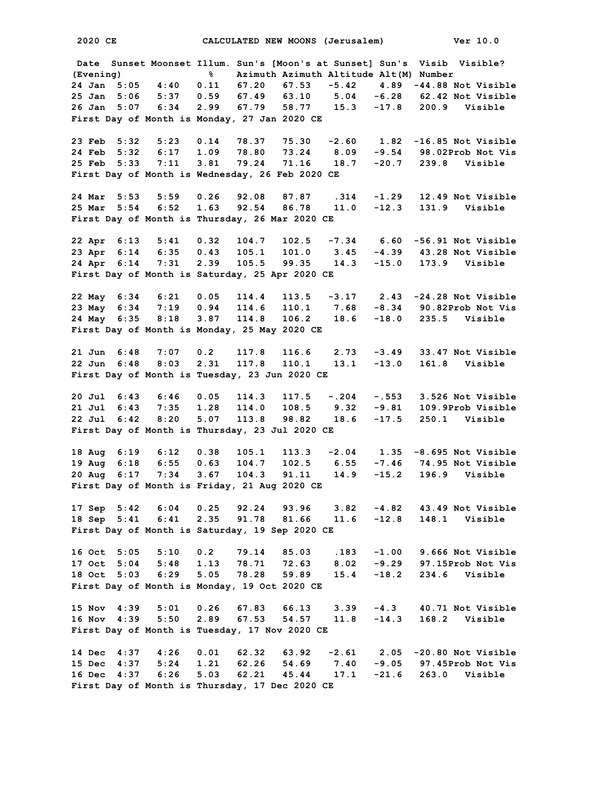**Date Sunset Moonset Illum. Sun's [Moon's at Sunset] Sun's Visib Visible? (Evening) % Azimuth Azimuth Altitude Alt(M) Number 24 Jan 5:05 4:40 0.11 67.20 67.53 -5.42 4.89 -44.88 Not Visible 25 Jan 5:06 5:37 0.59 67.49 63.10 5.04 -6.28 62.42 Not Visible 26 Jan 5:07 6:34 2.99 67.79 58.77 15.3 -17.8 200.9 Visible First Day of Month is Monday, 27 Jan 2020 CE 23 Feb 5:32 5:23 0.14 78.37 75.30 -2.60 1.82 -16.85 Not Visible 24 Feb 5:32 6:17 1.09 78.80 73.24 8.09 -9.54 98.02Prob Not Vis 25 Feb 5:33 7:11 3.81 79.24 71.16 18.7 -20.7 239.8 Visible First Day of Month is Wednesday, 26 Feb 2020 CE 24 Mar 5:53 5:59 0.26 92.08 87.87 .314 -1.29 12.49 Not Visible 25 Mar 5:54 6:52 1.63 92.54 86.78 11.0 -12.3 131.9 Visible First Day of Month is Thursday, 26 Mar 2020 CE 22 Apr 6:13 5:41 0.32 104.7 102.5 -7.34 6.60 -56.91 Not Visible 23 Apr 6:14 6:35 0.43 105.1 101.0 3.45 -4.39 43.28 Not Visible 24 Apr 6:14 7:31 2.39 105.5 99.35 14.3 -15.0 173.9 Visible First Day of Month is Saturday, 25 Apr 2020 CE 22 May 6:34 6:21 0.05 114.4 113.5 -3.17 2.43 -24.28 Not Visible 23 May 6:34 7:19 0.94 114.6 110.1 7.68 -8.34 90.82Prob Not Vis 24 May 6:35 8:18 3.87 114.8 106.2 18.6 -18.0 235.5 Visible First Day of Month is Monday, 25 May 2020 CE 21 Jun 6:48 7:07 0.2 117.8 116.6 2.73 -3.49 33.47 Not Visible 22 Jun 6:48 8:03 2.31 117.8 110.1 13.1 -13.0 161.8 Visible First Day of Month is Tuesday, 23 Jun 2020 CE 20 Jul 6:43 6:46 0.05 114.3 117.5 -.204 -.553 3.526 Not Visible 21 Jul 6:43 7:35 1.28 114.0 108.5 9.32 -9.81 109.9Prob Visible 22 Jul 6:42 8:20 5.07 113.8 98.82 18.6 -17.5 250.1 Visible First Day of Month is Thursday, 23 Jul 2020 CE 18 Aug 6:19 6:12 0.38 105.1 113.3 -2.04 1.35 -8.695 Not Visible 19 Aug 6:18 6:55 0.63 104.7 102.5 6.55 -7.46 74.95 Not Visible 20 Aug 6:17 7:34 3.67 104.3 91.11 14.9 -15.2 196.9 Visible First Day of Month is Friday, 21 Aug 2020 CE 17 Sep 5:42 6:04 0.25 92.24 93.96 3.82 -4.82 43.49 Not Visible** 18 Sep 5:41 6:41 2.35 91.78 81.66 **First Day of Month is Saturday, 19 Sep 2020 CE 16 Oct 5:05 5:10 0.2 79.14 85.03 .183 -1.00 9.666 Not Visible 17 Oct 5:04 5:48 1.13 78.71 72.63 8.02 -9.29 97.15Prob Not Vis 18 Oct 5:03 6:29 5.05 78.28 59.89 15.4 -18.2 234.6 Visible First Day of Month is Monday, 19 Oct 2020 CE 15 Nov 4:39 5:01 0.26 67.83 66.13 3.39 -4.3 40.71 Not Visible 16 Nov 4:39 5:50 2.89 67.53 54.57 11.8 -14.3 168.2 Visible First Day of Month is Tuesday, 17 Nov 2020 CE 14 Dec 4:37 4:26 0.01 62.32 63.92 -2.61 2.05 -20.80 Not Visible 15 Dec 4:37 5:24 1.21 62.26 54.69 7.40 -9.05 97.45Prob Not Vis 16 Dec 4:37 6:26 5.03 62.21 45.44 17.1 -21.6 263.0 Visible First Day of Month is Thursday, 17 Dec 2020 CE**